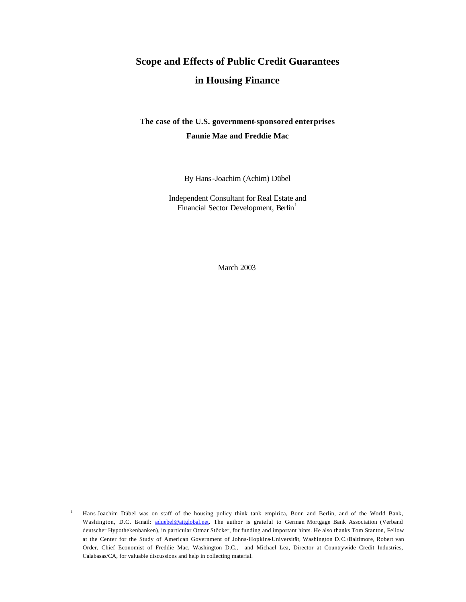# **Scope and Effects of Public Credit Guarantees in Housing Finance**

## **The case of the U.S. government-sponsored enterprises Fannie Mae and Freddie Mac**

By Hans-Joachim (Achim) Dübel

Independent Consultant for Real Estate and Financial Sector Development, Berlin<sup>1</sup>

March 2003

<sup>&</sup>lt;sup>1</sup> Hans-Joachim Dübel was on staff of the housing policy think tank empirica, Bonn and Berlin, and of the World Bank, Washington, D.C. Email: aduebel@attglobal.net. The author is grateful to German Mortgage Bank Association (Verband deutscher Hypothekenbanken), in particular Otmar Stöcker, for funding and important hints. He also thanks Tom Stanton, Fellow at the Center for the Study of American Government of Johns-Hopkins-Universität, Washington D.C./Baltimore, Robert van Order, Chief Economist of Freddie Mac, Washington D.C., and Michael Lea, Director at Countrywide Credit Industries, Calabasas/CA, for valuable discussions and help in collecting material.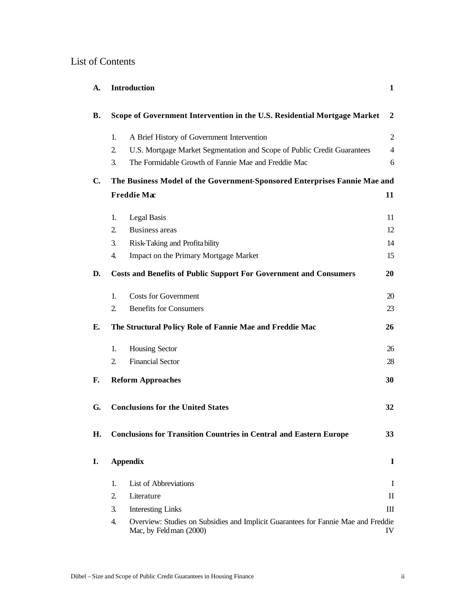## List of Contents

| A.             |                | Introduction                                                                                                | $\mathbf{1}$   |
|----------------|----------------|-------------------------------------------------------------------------------------------------------------|----------------|
| В.             |                | Scope of Government Intervention in the U.S. Residential Mortgage Market                                    | $\overline{2}$ |
|                | 1.             | A Brief History of Government Intervention                                                                  | $\overline{2}$ |
|                | 2.             | U.S. Mortgage Market Segmentation and Scope of Public Credit Guarantees                                     | $\overline{4}$ |
|                | 3.             | The Formidable Growth of Fannie Mae and Freddie Mac                                                         | 6              |
| $\mathbf{C}$ . |                | The Business Model of the Government-Sponsored Enterprises Fannie Mae and                                   |                |
|                |                | Freddie Mac                                                                                                 | 11             |
|                | 1.             | Legal Basis                                                                                                 | 11             |
|                | 2.             | <b>Business areas</b>                                                                                       | 12             |
|                | 3.             | Risk-Taking and Profita bility                                                                              | 14             |
|                | 4.             | Impact on the Primary Mortgage Market                                                                       | 15             |
| D.             |                | <b>Costs and Benefits of Public Support For Government and Consumers</b>                                    | 20             |
|                | 1.             | <b>Costs for Government</b>                                                                                 | 20             |
|                | $\overline{2}$ | <b>Benefits for Consumers</b>                                                                               | 23             |
| Е.             |                | The Structural Policy Role of Fannie Mae and Freddie Mac                                                    | 26             |
|                | 1.             | <b>Housing Sector</b>                                                                                       | 26             |
|                | $\overline{2}$ | <b>Financial Sector</b>                                                                                     | 28             |
| F.             |                | <b>Reform Approaches</b>                                                                                    | 30             |
| G.             |                | <b>Conclusions for the United States</b>                                                                    | 32             |
| H.             |                | <b>Conclusions for Transition Countries in Central and Eastern Europe</b>                                   | 33             |
| I.             |                | <b>Appendix</b>                                                                                             | $\bf{I}$       |
|                | 1.             | <b>List of Abbreviations</b>                                                                                | $\bf{I}$       |
|                | 2.             | Literature                                                                                                  | $\rm II$       |
|                | 3.             | <b>Interesting Links</b>                                                                                    | III            |
|                | 4.             | Overview: Studies on Subsidies and Implicit Guarantees for Fannie Mae and Freddie<br>Mac, by Feldman (2000) | IV             |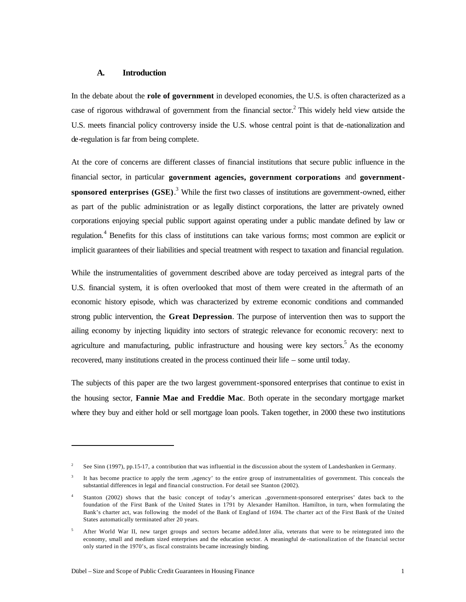## **A. Introduction**

In the debate about the **role of government** in developed economies, the U.S. is often characterized as a case of rigorous withdrawal of government from the financial sector.<sup>2</sup> This widely held view outside the U.S. meets financial policy controversy inside the U.S. whose central point is that de -nationalization and de-regulation is far from being complete.

At the core of concerns are different classes of financial institutions that secure public influence in the financial sector, in particular **government agencies, government corporations** and **governmentsponsored enterprises (GSE)**. 3 While the first two classes of institutions are government-owned, either as part of the public administration or as legally distinct corporations, the latter are privately owned corporations enjoying special public support against operating under a public mandate defined by law or regulation.<sup>4</sup> Benefits for this class of institutions can take various forms; most common are explicit or implicit guarantees of their liabilities and special treatment with respect to taxation and financial regulation.

While the instrumentalities of government described above are today perceived as integral parts of the U.S. financial system, it is often overlooked that most of them were created in the aftermath of an economic history episode, which was characterized by extreme economic conditions and commanded strong public intervention, the **Great Depression**. The purpose of intervention then was to support the ailing economy by injecting liquidity into sectors of strategic relevance for economic recovery: next to agriculture and manufacturing, public infrastructure and housing were key sectors.<sup>5</sup> As the economy recovered, many institutions created in the process continued their life – some until today.

The subjects of this paper are the two largest government-sponsored enterprises that continue to exist in the housing sector, **Fannie Mae and Freddie Mac**. Both operate in the secondary mortgage market where they buy and either hold or sell mortgage loan pools. Taken together, in 2000 these two institutions

 $\overline{a}$ 

<sup>2</sup> See Sinn (1997), pp.15-17, a contribution that was influential in the discussion about the system of Landesbanken in Germany.

<sup>3</sup> It has become practice to apply the term ,agency' to the entire group of instrumentalities of government. This conceals the substantial differences in legal and financial construction. For detail see Stanton (2002).

Stanton (2002) shows that the basic concept of today's american ,government-sponsored enterprises' dates back to the foundation of the First Bank of the United States in 1791 by Alexander Hamilton. Hamilton, in turn, when formulating the Bank's charter act, was following the model of the Bank of England of 1694. The charter act of the First Bank of the United States automatically terminated after 20 years.

<sup>&</sup>lt;sup>5</sup> After World War II, new target groups and sectors became added.Inter alia, veterans that were to be reintegrated into the economy, small and medium sized enterprises and the education sector. A meaningful de -nationalization of the financial sector only started in the 1970's, as fiscal constraints be came increasingly binding.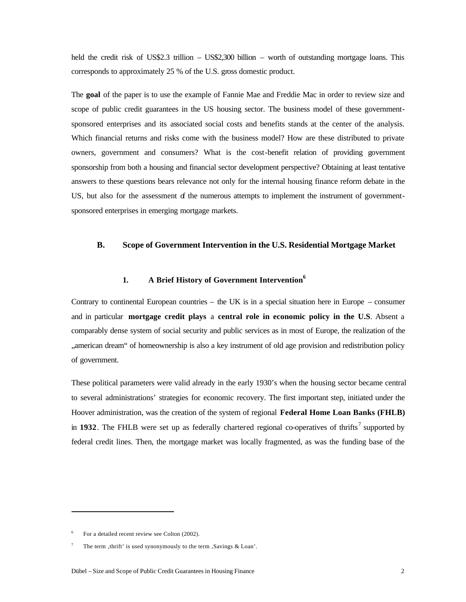held the credit risk of US\$2.3 trillion – US\$2,300 billion – worth of outstanding mortgage loans. This corresponds to approximately 25 % of the U.S. gross domestic product.

The **goal** of the paper is to use the example of Fannie Mae and Freddie Mac in order to review size and scope of public credit guarantees in the US housing sector. The business model of these governmentsponsored enterprises and its associated social costs and benefits stands at the center of the analysis. Which financial returns and risks come with the business model? How are these distributed to private owners, government and consumers? What is the cost-benefit relation of providing government sponsorship from both a housing and financial sector development perspective? Obtaining at least tentative answers to these questions bears relevance not only for the internal housing finance reform debate in the US, but also for the assessment of the numerous attempts to implement the instrument of governmentsponsored enterprises in emerging mortgage markets.

#### **B. Scope of Government Intervention in the U.S. Residential Mortgage Market**

## **1. A Brief History of Government Intervention<sup>6</sup>**

Contrary to continental European countries – the UK is in a special situation here in Europe – consumer and in particular **mortgage credit plays** a **central role in economic policy in the U.S**. Absent a comparably dense system of social security and public services as in most of Europe, the realization of the "american dream" of homeownership is also a key instrument of old age provision and redistribution policy of government.

These political parameters were valid already in the early 1930's when the housing sector became central to several administrations' strategies for economic recovery. The first important step, initiated under the Hoover administration, was the creation of the system of regional **Federal Home Loan Banks (FHLB)**  in 1932. The FHLB were set up as federally chartered regional co-operatives of thrifts<sup>7</sup> supported by federal credit lines. Then, the mortgage market was locally fragmented, as was the funding base of the

 $\overline{a}$ 

 $6$  For a detailed recent review see Colton (2002).

The term , thrift' is used synonymously to the term  $Saviings & Loan'.$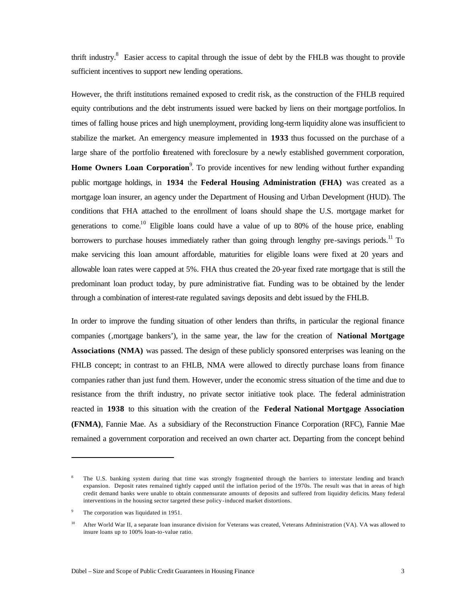thrift industry.<sup>8</sup> Easier access to capital through the issue of debt by the FHLB was thought to provide sufficient incentives to support new lending operations.

However, the thrift institutions remained exposed to credit risk, as the construction of the FHLB required equity contributions and the debt instruments issued were backed by liens on their mortgage portfolios. In times of falling house prices and high unemployment, providing long-term liquidity alone was insufficient to stabilize the market. An emergency measure implemented in **1933** thus focussed on the purchase of a large share of the portfolio threatened with foreclosure by a newly established government corporation, **Home Owners Loan Corporation**<sup>9</sup>. To provide incentives for new lending without further expanding public mortgage holdings, in **1934** the **Federal Housing Administration (FHA)** was created as a mortgage loan insurer, an agency under the Department of Housing and Urban Development (HUD). The conditions that FHA attached to the enrollment of loans should shape the U.S. mortgage market for generations to come.<sup>10</sup> Eligible loans could have a value of up to 80% of the house price, enabling borrowers to purchase houses immediately rather than going through lengthy pre-savings periods.<sup>11</sup> To make servicing this loan amount affordable, maturities for eligible loans were fixed at 20 years and allowable loan rates were capped at 5%. FHA thus created the 20-year fixed rate mortgage that is still the predominant loan product today, by pure administrative fiat. Funding was to be obtained by the lender through a combination of interest-rate regulated savings deposits and debt issued by the FHLB.

In order to improve the funding situation of other lenders than thrifts, in particular the regional finance companies ('mortgage bankers'), in the same year, the law for the creation of **National Mortgage Associations (NMA)** was passed. The design of these publicly sponsored enterprises was leaning on the FHLB concept; in contrast to an FHLB, NMA were allowed to directly purchase loans from finance companies rather than just fund them. However, under the economic stress situation of the time and due to resistance from the thrift industry, no private sector initiative took place. The federal administration reacted in **1938** to this situation with the creation of the **Federal National Mortgage Association (FNMA)**, Fannie Mae. As a subsidiary of the Reconstruction Finance Corporation (RFC), Fannie Mae remained a government corporation and received an own charter act. Departing from the concept behind

The U.S. banking system during that time was strongly fragmented through the barriers to interstate lending and branch expansion. Deposit rates remained tightly capped until the inflation period of the 1970s. The result was that in areas of high credit demand banks were unable to obtain conmensurate amounts of deposits and suffered from liquidity deficits. Many federal interventions in the housing sector targeted these policy-induced market distortions.

The corporation was liquidated in 1951.

<sup>&</sup>lt;sup>10</sup> After World War II, a separate loan insurance division for Veterans was created, Veterans Administration (VA). VA was allowed to insure loans up to 100% loan-to-value ratio.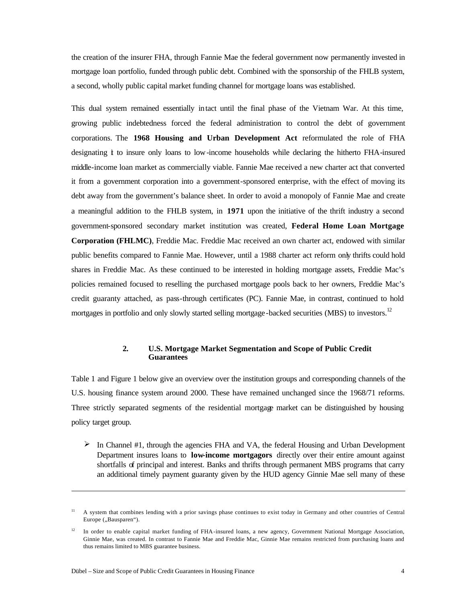the creation of the insurer FHA, through Fannie Mae the federal government now permanently invested in mortgage loan portfolio, funded through public debt. Combined with the sponsorship of the FHLB system, a second, wholly public capital market funding channel for mortgage loans was established.

This dual system remained essentially intact until the final phase of the Vietnam War. At this time, growing public indebtedness forced the federal administration to control the debt of government corporations. The **1968 Housing and Urban Development Act** reformulated the role of FHA designating it to insure only loans to low-income households while declaring the hitherto FHA-insured middle-income loan market as commercially viable. Fannie Mae received a new charter act that converted it from a government corporation into a government-sponsored enterprise, with the effect of moving its debt away from the government's balance sheet. In order to avoid a monopoly of Fannie Mae and create a meaningful addition to the FHLB system, in **1971** upon the initiative of the thrift industry a second government-sponsored secondary market institution was created, **Federal Home Loan Mortgage Corporation (FHLMC)**, Freddie Mac. Freddie Mac received an own charter act, endowed with similar public benefits compared to Fannie Mae. However, until a 1988 charter act reform only thrifts could hold shares in Freddie Mac. As these continued to be interested in holding mortgage assets, Freddie Mac's policies remained focused to reselling the purchased mortgage pools back to her owners, Freddie Mac's credit guaranty attached, as pass-through certificates (PC). Fannie Mae, in contrast, continued to hold mortgages in portfolio and only slowly started selling mortgage-backed securities (MBS) to investors.<sup>12</sup>

### **2. U.S. Mortgage Market Segmentation and Scope of Public Credit Guarantees**

Table 1 and Figure 1 below give an overview over the institution groups and corresponding channels of the U.S. housing finance system around 2000. These have remained unchanged since the 1968/71 reforms. Three strictly separated segments of the residential mortgage market can be distinguished by housing policy target group.

 $\triangleright$  In Channel #1, through the agencies FHA and VA, the federal Housing and Urban Development Department insures loans to **low-income mortgagors** directly over their entire amount against shortfalls of principal and interest. Banks and thrifts through permanent MBS programs that carry an additional timely payment guaranty given by the HUD agency Ginnie Mae sell many of these

<sup>&</sup>lt;sup>11</sup> A system that combines lending with a prior savings phase continues to exist today in Germany and other countries of Central Europe ("Bausparen").

<sup>&</sup>lt;sup>12</sup> In order to enable capital market funding of FHA-insured loans, a new agency, Government National Mortgage Association, Ginnie Mae, was created. In contrast to Fannie Mae and Freddie Mac, Ginnie Mae remains restricted from purchasing loans and thus remains limited to MBS guarantee business.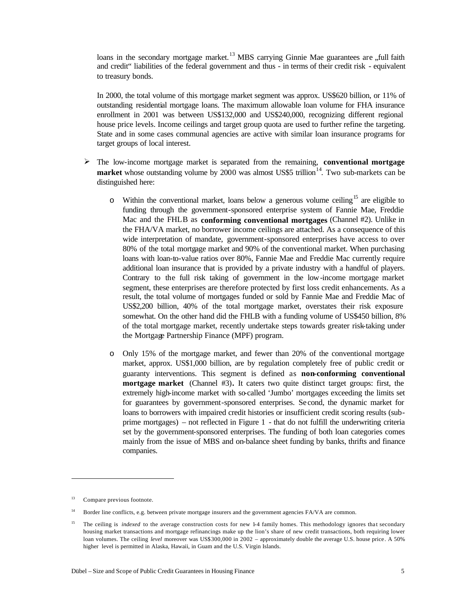loans in the secondary mortgage market.<sup>13</sup> MBS carrying Ginnie Mae guarantees are "full faith and credit" liabilities of the federal government and thus - in terms of their credit risk - equivalent to treasury bonds.

In 2000, the total volume of this mortgage market segment was approx. US\$620 billion, or 11% of outstanding residential mortgage loans. The maximum allowable loan volume for FHA insurance enrollment in 2001 was between US\$132,000 and US\$240,000, recognizing different regional house price levels. Income ceilings and target group quota are used to further refine the targeting. State and in some cases communal agencies are active with similar loan insurance programs for target groups of local interest.

- ÿ The low-income mortgage market is separated from the remaining, **conventional mortgage market** whose outstanding volume by 2000 was almost US\$5 trillion<sup>14</sup>. Two sub-markets can be distinguished here:
	- $\circ$  Within the conventional market, loans below a generous volume ceiling<sup>15</sup> are eligible to funding through the government-sponsored enterprise system of Fannie Mae, Freddie Mac and the FHLB as **conforming conventional mortgages** (Channel #2). Unlike in the FHA/VA market, no borrower income ceilings are attached. As a consequence of this wide interpretation of mandate, government-sponsored enterprises have access to over 80% of the total mortgage market and 90% of the conventional market. When purchasing loans with loan-to-value ratios over 80%, Fannie Mae and Freddie Mac currently require additional loan insurance that is provided by a private industry with a handful of players. Contrary to the full risk taking of government in the low-income mortgage market segment, these enterprises are therefore protected by first loss credit enhancements. As a result, the total volume of mortgages funded or sold by Fannie Mae and Freddie Mac of US\$2,200 billion, 40% of the total mortgage market, overstates their risk exposure somewhat. On the other hand did the FHLB with a funding volume of US\$450 billion, 8% of the total mortgage market, recently undertake steps towards greater risk-taking under the Mortgage Partnership Finance (MPF) program.
	- o Only 15% of the mortgage market, and fewer than 20% of the conventional mortgage market, approx. US\$1,000 billion, are by regulation completely free of public credit or guaranty interventions. This segment is defined as **non-conforming conventional mortgage market** (Channel #3)**.** It caters two quite distinct target groups: first, the extremely high-income market with so-called 'Jumbo' mortgages exceeding the limits set for guarantees by government-sponsored enterprises. Se cond, the dynamic market for loans to borrowers with impaired credit histories or insufficient credit scoring results (subprime mortgages) – not reflected in Figure 1 - that do not fulfill the underwriting criteria set by the government-sponsored enterprises. The funding of both loan categories comes mainly from the issue of MBS and on-balance sheet funding by banks, thrifts and finance companies.

 $\overline{a}$ 

<sup>13</sup> Compare previous footnote.

<sup>&</sup>lt;sup>14</sup> Border line conflicts, e.g. between private mortgage insurers and the government agencies FA/VA are common.

<sup>&</sup>lt;sup>15</sup> The ceiling is *indexed* to the average construction costs for new 1-4 family homes. This methodology ignores that secondary housing market transactions and mortgage refinancings make up the lion's share of new credit transactions, both requiring lower loan volumes. The ceiling *level* moreover was US\$300,000 in 2002 – approximately double the average U.S. house price. A 50% higher level is permitted in Alaska, Hawaii, in Guam and the U.S. Virgin Islands.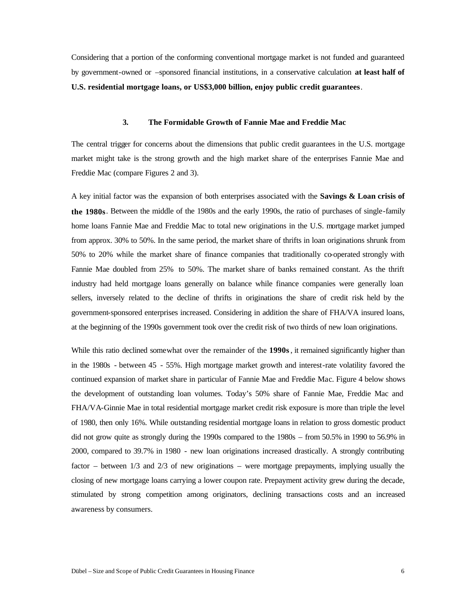Considering that a portion of the conforming conventional mortgage market is not funded and guaranteed by government-owned or –sponsored financial institutions, in a conservative calculation **at least half of U.S. residential mortgage loans, or US\$3,000 billion, enjoy public credit guarantees**.

## **3. The Formidable Growth of Fannie Mae and Freddie Mac**

The central trigger for concerns about the dimensions that public credit guarantees in the U.S. mortgage market might take is the strong growth and the high market share of the enterprises Fannie Mae and Freddie Mac (compare Figures 2 and 3).

A key initial factor was the expansion of both enterprises associated with the **Savings & Loan crisis of the 1980s**. Between the middle of the 1980s and the early 1990s, the ratio of purchases of single-family home loans Fannie Mae and Freddie Mac to total new originations in the U.S. mortgage market jumped from approx. 30% to 50%. In the same period, the market share of thrifts in loan originations shrunk from 50% to 20% while the market share of finance companies that traditionally co-operated strongly with Fannie Mae doubled from 25% to 50%. The market share of banks remained constant. As the thrift industry had held mortgage loans generally on balance while finance companies were generally loan sellers, inversely related to the decline of thrifts in originations the share of credit risk held by the government-sponsored enterprises increased. Considering in addition the share of FHA/VA insured loans, at the beginning of the 1990s government took over the credit risk of two thirds of new loan originations.

While this ratio declined somewhat over the remainder of the **1990s**, it remained significantly higher than in the 1980s - between 45 - 55%. High mortgage market growth and interest-rate volatility favored the continued expansion of market share in particular of Fannie Mae and Freddie Mac. Figure 4 below shows the development of outstanding loan volumes. Today's 50% share of Fannie Mae, Freddie Mac and FHA/VA-Ginnie Mae in total residential mortgage market credit risk exposure is more than triple the level of 1980, then only 16%. While outstanding residential mortgage loans in relation to gross domestic product did not grow quite as strongly during the 1990s compared to the 1980s – from 50.5% in 1990 to 56.9% in 2000, compared to 39.7% in 1980 - new loan originations increased drastically. A strongly contributing factor – between  $1/3$  and  $2/3$  of new originations – were mortgage prepayments, implying usually the closing of new mortgage loans carrying a lower coupon rate. Prepayment activity grew during the decade, stimulated by strong competition among originators, declining transactions costs and an increased awareness by consumers.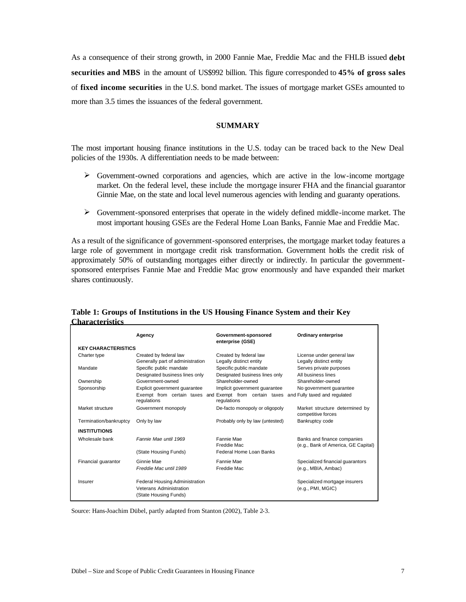As a consequence of their strong growth, in 2000 Fannie Mae, Freddie Mac and the FHLB issued **debt securities and MBS** in the amount of US\$992 billion. This figure corresponded to **45% of gross sales**  of **fixed income securities** in the U.S. bond market. The issues of mortgage market GSEs amounted to more than 3.5 times the issuances of the federal government.

## **SUMMARY**

The most important housing finance institutions in the U.S. today can be traced back to the New Deal policies of the 1930s. A differentiation needs to be made between:

- $\triangleright$  Government-owned corporations and agencies, which are active in the low-income mortgage market. On the federal level, these include the mortgage insurer FHA and the financial guarantor Ginnie Mae, on the state and local level numerous agencies with lending and guaranty operations.
- $\triangleright$  Government-sponsored enterprises that operate in the widely defined middle-income market. The most important housing GSEs are the Federal Home Loan Banks, Fannie Mae and Freddie Mac.

As a result of the significance of government-sponsored enterprises, the mortgage market today features a large role of government in mortgage credit risk transformation. Government holds the credit risk of approximately 50% of outstanding mortgages either directly or indirectly. In particular the governmentsponsored enterprises Fannie Mae and Freddie Mac grow enormously and have expanded their market shares continuously.

|                            | Agency                                                                                    | Government-sponsored<br>enterprise (GSE)                                                                                              | <b>Ordinary enterprise</b>                                         |
|----------------------------|-------------------------------------------------------------------------------------------|---------------------------------------------------------------------------------------------------------------------------------------|--------------------------------------------------------------------|
| <b>KEY CHARACTERISTICS</b> |                                                                                           |                                                                                                                                       |                                                                    |
| Charter type               | Created by federal law<br>Generally part of administration                                | Created by federal law<br>Legally distinct entity                                                                                     | License under general law<br>Legally distinct entity               |
| Mandate                    | Specific public mandate<br>Designated business lines only                                 | Specific public mandate<br>Designated business lines only                                                                             | Serves private purposes<br>All business lines                      |
| Ownership                  | Government-owned                                                                          | Shareholder-owned                                                                                                                     | Shareholder-owned                                                  |
| Sponsorship                | Explicit government quarantee<br>regulations                                              | Implicit government quarantee<br>Exempt from certain taxes and Exempt from certain taxes and Fully taxed and regulated<br>regulations | No government quarantee                                            |
| Market structure           | Government monopoly                                                                       | De-facto monopoly or oligopoly                                                                                                        | Market structure determined by<br>competitive forces               |
| Termination/bankruptcy     | Only by law                                                                               | Probably only by law (untested)                                                                                                       | Bankruptcy code                                                    |
| <b>INSTITUTIONS</b>        |                                                                                           |                                                                                                                                       |                                                                    |
| Wholesale bank             | Fannie Mae until 1969                                                                     | Fannie Mae<br>Freddie Mac                                                                                                             | Banks and finance companies<br>(e.g., Bank of America, GE Capital) |
|                            | (State Housing Funds)                                                                     | Federal Home Loan Banks                                                                                                               |                                                                    |
| Financial quarantor        | Ginnie Mae<br>Freddie Mac until 1989                                                      | Fannie Mae<br>Freddie Mac                                                                                                             | Specialized financial guarantors<br>(e.g., MBIA, Ambac)            |
| Insurer                    | <b>Federal Housing Administration</b><br>Veterans Administration<br>(State Housing Funds) |                                                                                                                                       | Specialized mortgage insurers<br>(e.g., PMI, MGIC)                 |

**Table 1: Groups of Institutions in the US Housing Finance System and their Key Characteristics** 

Source: Hans-Joachim Dübel, partly adapted from Stanton (2002), Table 2-3.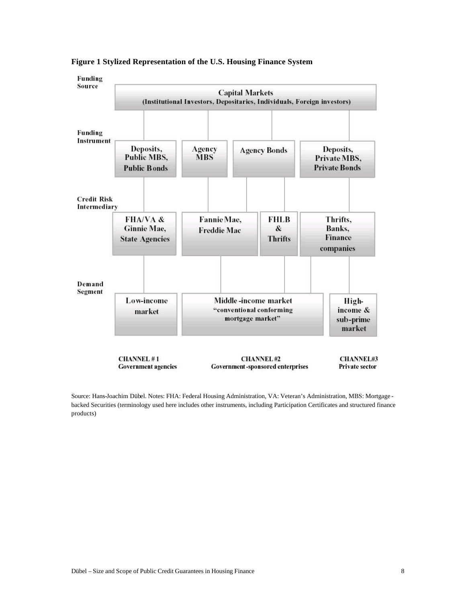



Source: Hans-Joachim Dübel. Notes: FHA: Federal Housing Administration, VA: Veteran's Administration, MBS: Mortgage backed Securities (terminology used here includes other instruments, including Participation Certificates and structured finance products)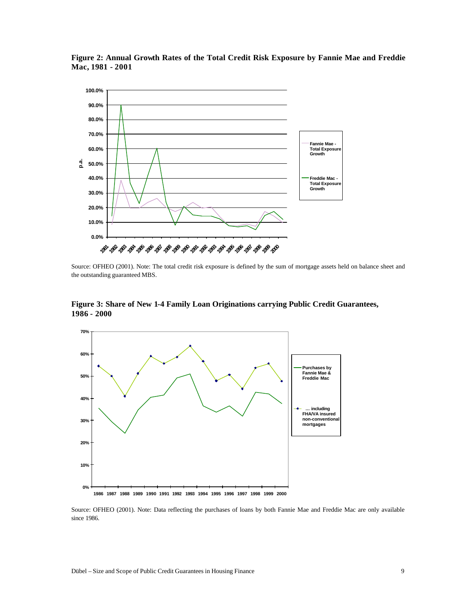

**Figure 2: Annual Growth Rates of the Total Credit Risk Exposure by Fannie Mae and Freddie Mac, 1981 - 2001**

Source: OFHEO (2001). Note: The total credit risk exposure is defined by the sum of mortgage assets held on balance sheet and the outstanding guaranteed MBS.

**Figure 3: Share of New 1-4 Family Loan Originations carrying Public Credit Guarantees, 1986 - 2000**



Source: OFHEO (2001). Note: Data reflecting the purchases of loans by both Fannie Mae and Freddie Mac are only available since 1986.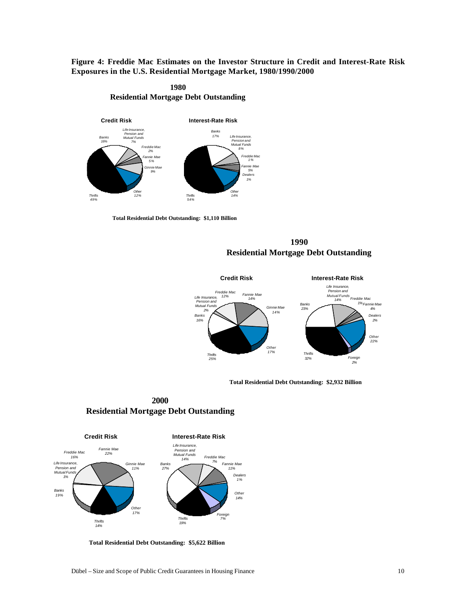**Figure 4: Freddie Mac Estimates on the Investor Structure in Credit and Interest-Rate Risk Exposures in the U.S. Residential Mortgage Market, 1980/1990/2000** 





**Total Residential Debt Outstanding: \$1,110 Billion**

**1990 Residential Mortgage Debt Outstanding**



**Total Residential Debt Outstanding: \$2,932 Billion**

**2000 Residential Mortgage Debt Outstanding**



**Total Residential Debt Outstanding: \$5,622 Billion**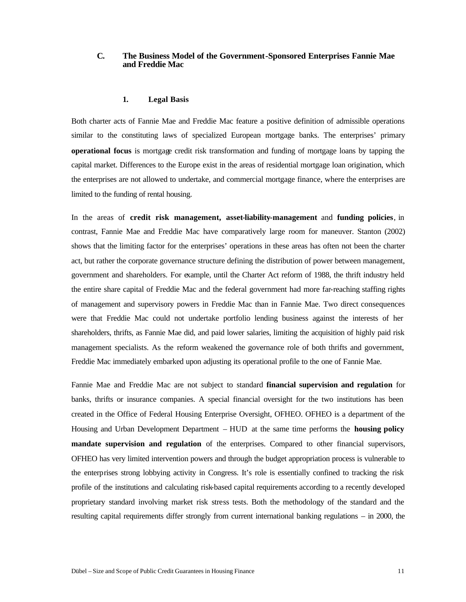## **C. The Business Model of the Government-Sponsored Enterprises Fannie Mae and Freddie Mac**

#### **1. Legal Basis**

Both charter acts of Fannie Mae and Freddie Mac feature a positive definition of admissible operations similar to the constituting laws of specialized European mortgage banks. The enterprises' primary **operational focus** is mortgage credit risk transformation and funding of mortgage loans by tapping the capital market. Differences to the Europe exist in the areas of residential mortgage loan origination, which the enterprises are not allowed to undertake, and commercial mortgage finance, where the enterprises are limited to the funding of rental housing.

In the areas of **credit risk management, asset-liability-management** and **funding policies**, in contrast, Fannie Mae and Freddie Mac have comparatively large room for maneuver. Stanton (2002) shows that the limiting factor for the enterprises' operations in these areas has often not been the charter act, but rather the corporate governance structure defining the distribution of power between management, government and shareholders. For example, until the Charter Act reform of 1988, the thrift industry held the entire share capital of Freddie Mac and the federal government had more far-reaching staffing rights of management and supervisory powers in Freddie Mac than in Fannie Mae. Two direct consequences were that Freddie Mac could not undertake portfolio lending business against the interests of her shareholders, thrifts, as Fannie Mae did, and paid lower salaries, limiting the acquisition of highly paid risk management specialists. As the reform weakened the governance role of both thrifts and government, Freddie Mac immediately embarked upon adjusting its operational profile to the one of Fannie Mae.

Fannie Mae and Freddie Mac are not subject to standard **financial supervision and regulation** for banks, thrifts or insurance companies. A special financial oversight for the two institutions has been created in the Office of Federal Housing Enterprise Oversight, OFHEO. OFHEO is a department of the Housing and Urban Development Department – HUD at the same time performs the **housing policy mandate supervision and regulation** of the enterprises. Compared to other financial supervisors, OFHEO has very limited intervention powers and through the budget appropriation process is vulnerable to the enterprises strong lobbying activity in Congress. It's role is essentially confined to tracking the risk profile of the institutions and calculating risk-based capital requirements according to a recently developed proprietary standard involving market risk stress tests. Both the methodology of the standard and the resulting capital requirements differ strongly from current international banking regulations – in 2000, the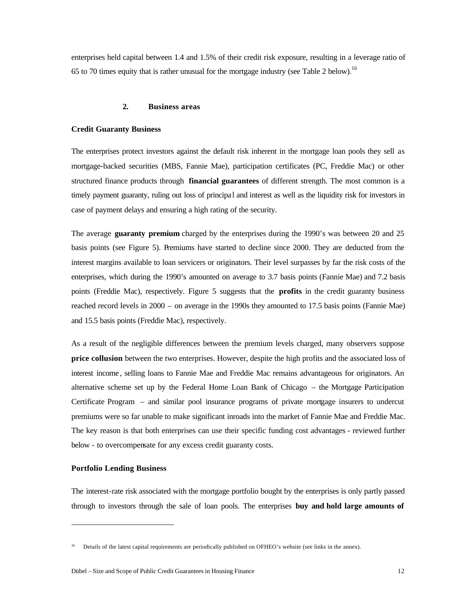enterprises held capital between 1.4 and 1.5% of their credit risk exposure, resulting in a leverage ratio of 65 to 70 times equity that is rather unusual for the mortgage industry (see Table 2 below).<sup>16</sup>

#### **2. Business areas**

#### **Credit Guaranty Business**

The enterprises protect investors against the default risk inherent in the mortgage loan pools they sell as mortgage-backed securities (MBS, Fannie Mae), participation certificates (PC, Freddie Mac) or other structured finance products through **financial guarantees** of different strength. The most common is a timely payment guaranty, ruling out loss of principal and interest as well as the liquidity risk for investors in case of payment delays and ensuring a high rating of the security.

The average **guaranty premium** charged by the enterprises during the 1990's was between 20 and 25 basis points (see Figure 5). Premiums have started to decline since 2000. They are deducted from the interest margins available to loan servicers or originators. Their level surpasses by far the risk costs of the enterprises, which during the 1990's amounted on average to 3.7 basis points (Fannie Mae) and 7.2 basis points (Freddie Mac), respectively. Figure 5 suggests that the **profits** in the credit guaranty business reached record levels in 2000 – on average in the 1990s they amounted to 17.5 basis points (Fannie Mae) and 15.5 basis points (Freddie Mac), respectively.

As a result of the negligible differences between the premium levels charged, many observers suppose **price collusion** between the two enterprises. However, despite the high profits and the associated loss of interest income , selling loans to Fannie Mae and Freddie Mac remains advantageous for originators. An alternative scheme set up by the Federal Home Loan Bank of Chicago – the Mortgage Participation Certificate Program – and similar pool insurance programs of private mortgage insurers to undercut premiums were so far unable to make significant inroads into the market of Fannie Mae and Freddie Mac. The key reason is that both enterprises can use their specific funding cost advantages - reviewed further below - to overcompensate for any excess credit guaranty costs.

## **Portfolio Lending Business**

j

The interest-rate risk associated with the mortgage portfolio bought by the enterprises is only partly passed through to investors through the sale of loan pools. The enterprises **buy and hold large amounts of** 

<sup>16</sup> Details of the latest capital requirements are periodically published on OFHEO's website (see links in the annex).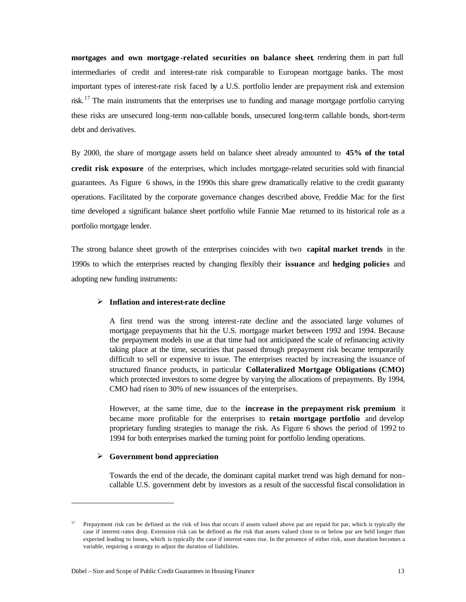**mortgages and own mortgage -related securities on balance sheet**, rendering them in part full intermediaries of credit and interest-rate risk comparable to European mortgage banks. The most important types of interest-rate risk faced by a U.S. portfolio lender are prepayment risk and extension risk.<sup>17</sup> The main instruments that the enterprises use to funding and manage mortgage portfolio carrying these risks are unsecured long-term non-callable bonds, unsecured long-term callable bonds, short-term debt and derivatives.

By 2000, the share of mortgage assets held on balance sheet already amounted to **45% of the total credit risk exposure** of the enterprises, which includes mortgage-related securities sold with financial guarantees. As Figure 6 shows, in the 1990s this share grew dramatically relative to the credit guaranty operations. Facilitated by the corporate governance changes described above, Freddie Mac for the first time developed a significant balance sheet portfolio while Fannie Mae returned to its historical role as a portfolio mortgage lender.

The strong balance sheet growth of the enterprises coincides with two **capital market trends** in the 1990s to which the enterprises reacted by changing flexibly their **issuance** and **hedging policies** and adopting new funding instruments:

#### ÿ **Inflation and interest-rate decline**

A first trend was the strong interest-rate decline and the associated large volumes of mortgage prepayments that hit the U.S. mortgage market between 1992 and 1994. Because the prepayment models in use at that time had not anticipated the scale of refinancing activity taking place at the time, securities that passed through prepayment risk became temporarily difficult to sell or expensive to issue. The enterprises reacted by increasing the issuance of structured finance products, in particular **Collateralized Mortgage Obligations (CMO)**  which protected investors to some degree by varying the allocations of prepayments. By 1994, CMO had risen to 30% of new issuances of the enterprises.

However, at the same time, due to the **increase in the prepayment risk premium** it became more profitable for the enterprises to **retain mortgage portfolio** and develop proprietary funding strategies to manage the risk. As Figure 6 shows the period of 1992 to 1994 for both enterprises marked the turning point for portfolio lending operations.

#### ÿ **Government bond appreciation**

 $\overline{a}$ 

Towards the end of the decade, the dominant capital market trend was high demand for noncallable U.S. government debt by investors as a result of the successful fiscal consolidation in

 $17$  Prepayment risk can be defined as the risk of loss that occurs if assets valued above par are repaid for par, which is typically the case if interest-rates drop. Extension risk can be defined as the risk that assets valued close to or below par are held longer than expected leading to losses, which is typically the case if interest-rates rise. In the presence of either risk, asset duration becomes a variable, requiring a strategy to adjust the duration of liabilities.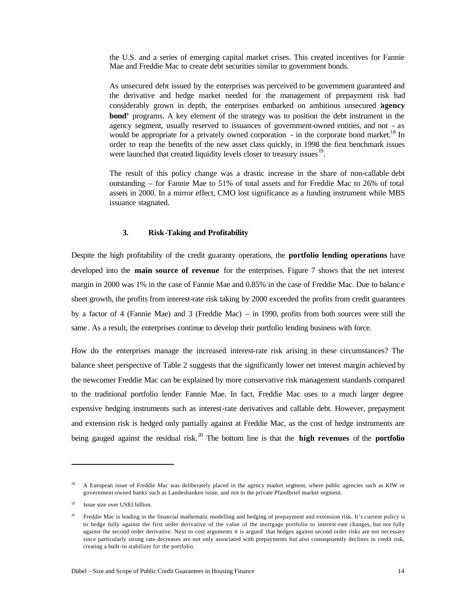the U.S. and a series of emerging capital market crises. This created incentives for Fannie Mae and Freddie Mac to create debt securities similar to government bonds.

As unsecured debt issued by the enterprises was perceived to be government guaranteed and the derivative and hedge market needed for the management of prepayment risk had considerably grown in depth, the enterprises embarked on ambitious unsecured '**agency bond'** programs. A key element of the strategy was to position the debt instrument in the agency segment, usually reserved to issuances of government-owned entities, and not - as would be appropriate for a privately owned corporation  $\overline{\phantom{a}}$  - in the corporate bond market.<sup>18</sup> In order to reap the benefits of the new asset class quickly, in 1998 the first benchmark issues were launched that created liquidity levels closer to treasury issues <sup>19</sup>.

The result of this policy change was a drastic increase in the share of non-callable debt outstanding – for Fannie Mae to 51% of total assets and for Freddie Mac to 26% of total assets in 2000. In a mirror effect, CMO lost significance as a funding instrument while MBS issuance stagnated.

#### **3. Risk-Taking and Profitability**

Despite the high profitability of the credit guaranty operations, the **portfolio lending operations** have developed into the **main source of revenue** for the enterprises. Figure 7 shows that the net interest margin in 2000 was 1% in the case of Fannie Mae and 0.85% in the case of Freddie Mac. Due to balanc e sheet growth, the profits from interest-rate risk taking by 2000 exceeded the profits from credit guarantees by a factor of 4 (Fannie Mae) and 3 (Freddie Mac) – in 1990, profits from both sources were still the same. As a result, the enterprises continue to develop their portfolio lending business with force.

How do the enterprises manage the increased interest-rate risk arising in these circumstances? The balance sheet perspective of Table 2 suggests that the significantly lower net interest margin achieved by the newcomer Freddie Mac can be explained by more conservative risk management standards compared to the traditional portfolio lender Fannie Mae. In fact, Freddie Mac uses to a much larger degree expensive hedging instruments such as interest-rate derivatives and callable debt. However, prepayment and extension risk is hedged only partially against at Freddie Mac, as the cost of hedge instruments are being gauged against the residual risk.<sup>20</sup> The bottom line is that the **high revenues** of the **portfolio**

<sup>&</sup>lt;sup>18</sup> A European issue of Freddie Mac was deliberately placed in the agency market segment, where public agencies such as KfW or government-owned banks such as Landesbanken issue, and not in the private Pfandbrief market segment.

<sup>19</sup> Issue size over US\$3 billion.

<sup>&</sup>lt;sup>20</sup> Freddie Mac is leading in the financial mathematic modelling and hedging of prepayment and extension risk. It's current policy is to hedge fully against the first order derivative of the value of the mortgage portfolio to interest-rate changes, but not fully against the second order derivative. Next to cost arguments it is argued that hedges against second order risks are not necessary since particularly strong rate decreases are not only associated with prepayments but also conseqeuently declines in credit risk, creating a built-in stabilizer for the portfolio.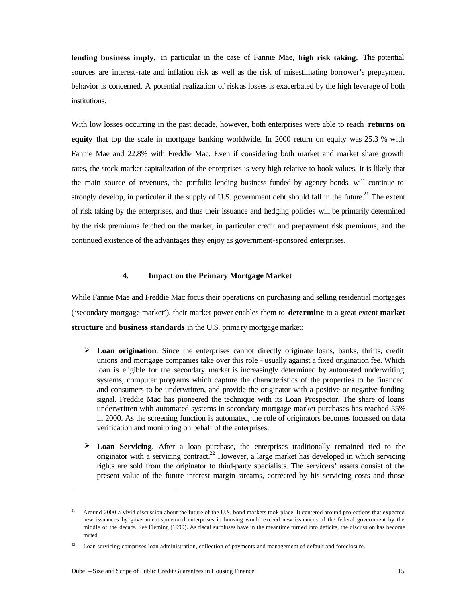**lending business imply,** in particular in the case of Fannie Mae, **high risk taking.** The potential sources are interest-rate and inflation risk as well as the risk of misestimating borrower's prepayment behavior is concerned. A potential realization of risk as losses is exacerbated by the high leverage of both institutions.

With low losses occurring in the past decade, however, both enterprises were able to reach **returns on equity** that top the scale in mortgage banking worldwide. In 2000 return on equity was 25.3 % with Fannie Mae and 22.8% with Freddie Mac. Even if considering both market and market share growth rates, the stock market capitalization of the enterprises is very high relative to book values. It is likely that the main source of revenues, the portfolio lending business funded by agency bonds, will continue to strongly develop, in particular if the supply of U.S. government debt should fall in the future.<sup>21</sup> The extent of risk taking by the enterprises, and thus their issuance and hedging policies will be primarily determined by the risk premiums fetched on the market, in particular credit and prepayment risk premiums, and the continued existence of the advantages they enjoy as government-sponsored enterprises.

#### **4. Impact on the Primary Mortgage Market**

While Fannie Mae and Freddie Mac focus their operations on purchasing and selling residential mortgages ('secondary mortgage market'), their market power enables them to **determine** to a great extent **market structure** and **business standards** in the U.S. prima ry mortgage market:

- $\triangleright$  **Loan origination**. Since the enterprises cannot directly originate loans, banks, thrifts, credit unions and mortgage companies take over this role - usually against a fixed origination fee. Which loan is eligible for the secondary market is increasingly determined by automated underwriting systems, computer programs which capture the characteristics of the properties to be financed and consumers to be underwritten, and provide the originator with a positive or negative funding signal. Freddie Mac has pioneered the technique with its Loan Prospector. The share of loans underwritten with automated systems in secondary mortgage market purchases has reached 55% in 2000. As the screening function is automated, the role of originators becomes focussed on data verification and monitoring on behalf of the enterprises.
- ÿ **Loan Servicing**. After a loan purchase, the enterprises traditionally remained tied to the originator with a servicing contract.<sup>22</sup> However, a large market has developed in which servicing rights are sold from the originator to third-party specialists. The servicers' assets consist of the present value of the future interest margin streams, corrected by his servicing costs and those

<sup>&</sup>lt;sup>21</sup> Around 2000 a vivid discussion about the future of the U.S. bond markets took place. It centered around projections that expected new issuances by government-sponsored enterprises in housing would exceed new issuances of the federal government by the middle of the decade. See Fleming (1999). As fiscal surpluses have in the meantime turned into deficits, the discussion has become muted.

Loan servicing comprises loan administration, collection of payments and management of default and foreclosure.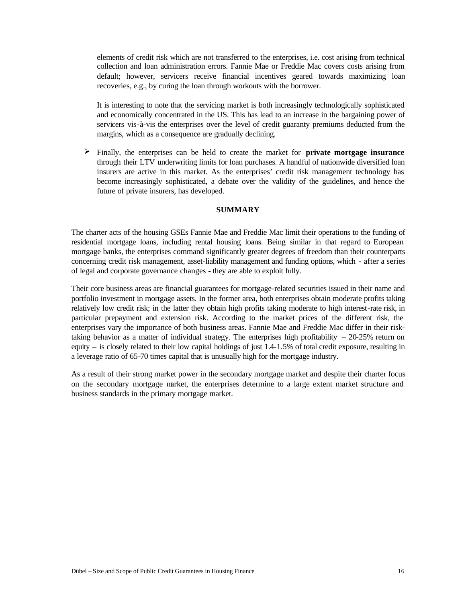elements of credit risk which are not transferred to the enterprises, i.e. cost arising from technical collection and loan administration errors. Fannie Mae or Freddie Mac covers costs arising from default; however, servicers receive financial incentives geared towards maximizing loan recoveries, e.g., by curing the loan through workouts with the borrower.

It is interesting to note that the servicing market is both increasingly technologically sophisticated and economically concentrated in the US. This has lead to an increase in the bargaining power of servicers vis-à-vis the enterprises over the level of credit guaranty premiums deducted from the margins, which as a consequence are gradually declining.

 $\triangleright$  Finally, the enterprises can be held to create the market for **private mortgage insurance** through their LTV underwriting limits for loan purchases. A handful of nationwide diversified loan insurers are active in this market. As the enterprises' credit risk management technology has become increasingly sophisticated, a debate over the validity of the guidelines, and hence the future of private insurers, has developed.

## **SUMMARY**

The charter acts of the housing GSEs Fannie Mae and Freddie Mac limit their operations to the funding of residential mortgage loans, including rental housing loans. Being similar in that regard to European mortgage banks, the enterprises command significantly greater degrees of freedom than their counterparts concerning credit risk management, asset-liability management and funding options, which - after a series of legal and corporate governance changes - they are able to exploit fully.

Their core business areas are financial guarantees for mortgage-related securities issued in their name and portfolio investment in mortgage assets. In the former area, both enterprises obtain moderate profits taking relatively low credit risk; in the latter they obtain high profits taking moderate to high interest-rate risk, in particular prepayment and extension risk. According to the market prices of the different risk, the enterprises vary the importance of both business areas. Fannie Mae and Freddie Mac differ in their risktaking behavior as a matter of individual strategy. The enterprises high profitability  $-20-25\%$  return on equity – is closely related to their low capital holdings of just 1.4-1.5% of total credit exposure, resulting in a leverage ratio of 65-70 times capital that is unusually high for the mortgage industry.

As a result of their strong market power in the secondary mortgage market and despite their charter focus on the secondary mortgage market, the enterprises determine to a large extent market structure and business standards in the primary mortgage market.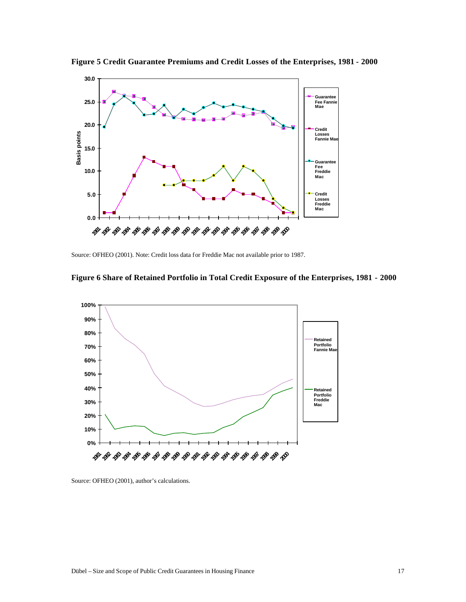

**Figure 5 Credit Guarantee Premiums and Credit Losses of the Enterprises, 1981 - 2000**

Source: OFHEO (2001). Note: Credit loss data for Freddie Mac not available prior to 1987.





Source: OFHEO (2001), author's calculations.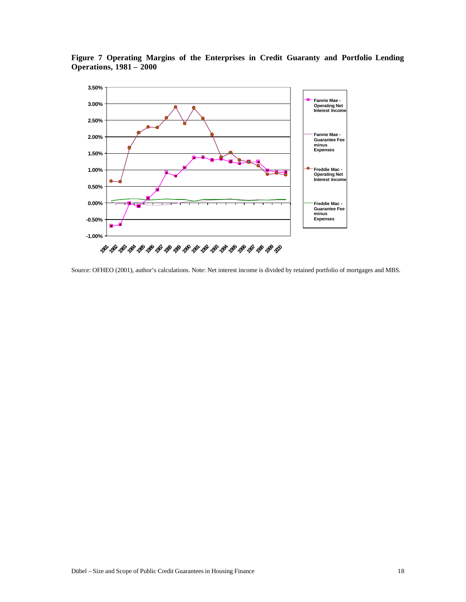

**Figure 7 Operating Margins of the Enterprises in Credit Guaranty and Portfolio Lending Operations, 1981 – 2000**

Source: OFHEO (2001), author's calculations. Note: Net interest income is divided by retained portfolio of mortgages and MBS.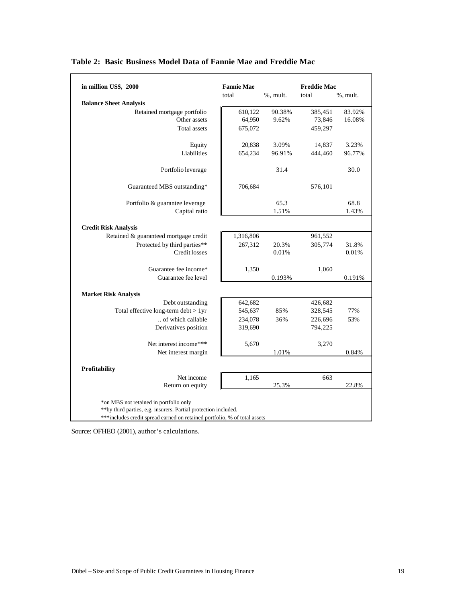| in million US\$, 2000                                                     | <b>Fannie Mae</b> |             | <b>Freddie Mac</b> |             |
|---------------------------------------------------------------------------|-------------------|-------------|--------------------|-------------|
|                                                                           | total             | $%$ , mult. | total              | $%$ , mult. |
| <b>Balance Sheet Analysis</b>                                             |                   |             |                    |             |
| Retained mortgage portfolio                                               | 610,122           | 90.38%      | 385,451            | 83.92%      |
| Other assets                                                              | 64,950            | 9.62%       | 73,846             | 16.08%      |
| Total assets                                                              | 675,072           |             | 459,297            |             |
| Equity                                                                    | 20,838            | 3.09%       | 14,837             | 3.23%       |
| Liabilities                                                               | 654,234           | 96.91%      | 444,460            | 96.77%      |
| Portfolio leverage                                                        |                   | 31.4        |                    | 30.0        |
| Guaranteed MBS outstanding*                                               | 706,684           |             | 576,101            |             |
| Portfolio & guarantee leverage                                            |                   | 65.3        |                    | 68.8        |
| Capital ratio                                                             |                   | 1.51%       |                    | 1.43%       |
| <b>Credit Risk Analysis</b>                                               |                   |             |                    |             |
| Retained & guaranteed mortgage credit                                     | 1,316,806         |             | 961,552            |             |
| Protected by third parties**                                              | 267,312           | 20.3%       | 305,774            | 31.8%       |
| <b>Credit losses</b>                                                      |                   | 0.01%       |                    | 0.01%       |
| Guarantee fee income*                                                     | 1,350             |             | 1,060              |             |
| Guarantee fee level                                                       |                   | 0.193%      |                    | 0.191%      |
| <b>Market Risk Analysis</b>                                               |                   |             |                    |             |
| Debt outstanding                                                          | 642,682           |             | 426,682            |             |
| Total effective long-term debt > 1yr                                      | 545,637           | 85%         | 328,545            | 77%         |
| of which callable                                                         | 234,078           | 36%         | 226,696            | 53%         |
| Derivatives position                                                      | 319,690           |             | 794,225            |             |
| Net interest income***                                                    | 5,670             |             | 3,270              |             |
| Net interest margin                                                       |                   | 1.01%       |                    | 0.84%       |
| Profitability                                                             |                   |             |                    |             |
| Net income                                                                | 1,165             |             | 663                |             |
| Return on equity                                                          |                   | 25.3%       |                    | 22.8%       |
| *on MBS not retained in portfolio only                                    |                   |             |                    |             |
| ** by third parties, e.g. insurers. Partial protection included.          |                   |             |                    |             |
| ***includes credit spread earned on retained portfolio, % of total assets |                   |             |                    |             |

## **Table 2: Basic Business Model Data of Fannie Mae and Freddie Mac**

Source: OFHEO (2001), author's calculations.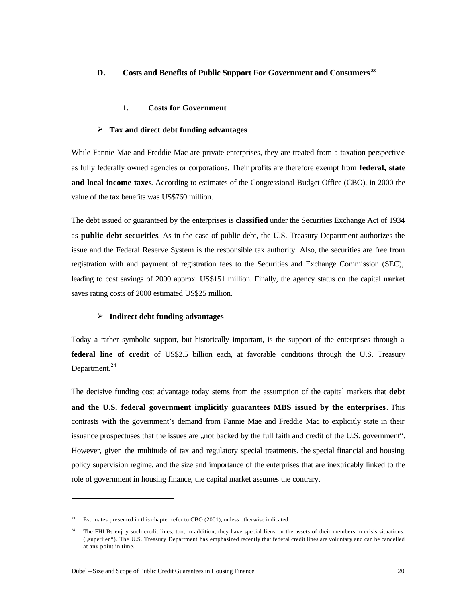## **D. Costs and Benefits of Public Support For Government and Consumers <sup>23</sup>**

#### **1. Costs for Government**

#### ÿ **Tax and direct debt funding advantages**

While Fannie Mae and Freddie Mac are private enterprises, they are treated from a taxation perspectiv e as fully federally owned agencies or corporations. Their profits are therefore exempt from **federal, state and local income taxes**. According to estimates of the Congressional Budget Office (CBO), in 2000 the value of the tax benefits was US\$760 million.

The debt issued or guaranteed by the enterprises is **classified** under the Securities Exchange Act of 1934 as **public debt securities**. As in the case of public debt, the U.S. Treasury Department authorizes the issue and the Federal Reserve System is the responsible tax authority. Also, the securities are free from registration with and payment of registration fees to the Securities and Exchange Commission (SEC), leading to cost savings of 2000 approx. US\$151 million. Finally, the agency status on the capital market saves rating costs of 2000 estimated US\$25 million.

#### ÿ **Indirect debt funding advantages**

Today a rather symbolic support, but historically important, is the support of the enterprises through a **federal line of credit** of US\$2.5 billion each, at favorable conditions through the U.S. Treasury Department. $^{24}$ 

The decisive funding cost advantage today stems from the assumption of the capital markets that **debt and the U.S. federal government implicitly guarantees MBS issued by the enterprises**. This contrasts with the government's demand from Fannie Mae and Freddie Mac to explicitly state in their issuance prospectuses that the issues are "not backed by the full faith and credit of the U.S. government". However, given the multitude of tax and regulatory special treatments, the special financial and housing policy supervision regime, and the size and importance of the enterprises that are inextricably linked to the role of government in housing finance, the capital market assumes the contrary.

<sup>&</sup>lt;sup>23</sup> Estimates presented in this chapter refer to CBO (2001), unless otherwise indicated.

<sup>&</sup>lt;sup>24</sup> The FHLBs enjoy such credit lines, too, in addition, they have special liens on the assets of their members in crisis situations. ("superlien"). The U.S. Treasury Department has emphasized recently that federal credit lines are voluntary and can be cancelled at any point in time.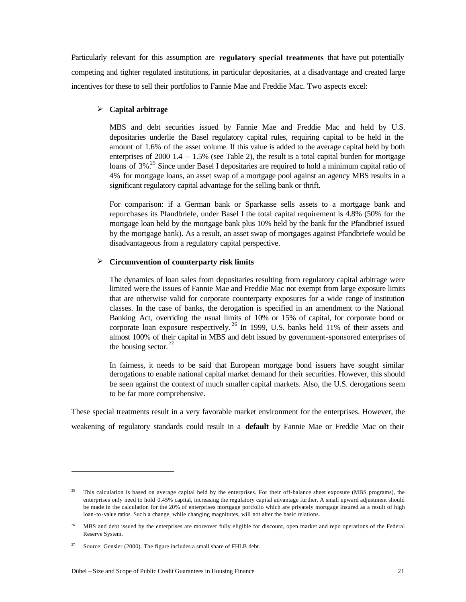Particularly relevant for this assumption are **regulatory special treatments** that have put potentially competing and tighter regulated institutions, in particular depositaries, at a disadvantage and created large incentives for these to sell their portfolios to Fannie Mae and Freddie Mac. Two aspects excel:

## ÿ **Capital arbitrage**

MBS and debt securities issued by Fannie Mae and Freddie Mac and held by U.S. depositaries underlie the Basel regulatory capital rules, requiring capital to be held in the amount of 1.6% of the asset volume. If this value is added to the average capital held by both enterprises of 2000  $1.4 - 1.5\%$  (see Table 2), the result is a total capital burden for mortgage loans of 3%<sup>25</sup> Since under Basel I depositaries are required to hold a minimum capital ratio of 4% for mortgage loans, an asset swap of a mortgage pool against an agency MBS results in a significant regulatory capital advantage for the selling bank or thrift.

For comparison: if a German bank or Sparkasse sells assets to a mortgage bank and repurchases its Pfandbriefe, under Basel I the total capital requirement is 4.8% (50% for the mortgage loan held by the mortgage bank plus 10% held by the bank for the Pfandbrief issued by the mortgage bank). As a result, an asset swap of mortgages against Pfandbriefe would be disadvantageous from a regulatory capital perspective.

## ÿ **Circumvention of counterparty risk limits**

The dynamics of loan sales from depositaries resulting from regulatory capital arbitrage were limited were the issues of Fannie Mae and Freddie Mac not exempt from large exposure limits that are otherwise valid for corporate counterparty exposures for a wide range of institution classes. In the case of banks, the derogation is specified in an amendment to the National Banking Act, overriding the usual limits of 10% or 15% of capital, for corporate bond or corporate loan exposure respectively.<sup>26</sup> In 1999, U.S. banks held 11% of their assets and almost 100% of their capital in MBS and debt issued by government-sponsored enterprises of the housing sector. $27$ 

In fairness, it needs to be said that European mortgage bond issuers have sought similar derogations to enable national capital market demand for their securities. However, this should be seen against the context of much smaller capital markets. Also, the U.S. derogations seem to be far more comprehensive.

These special treatments result in a very favorable market environment for the enterprises. However, the weakening of regulatory standards could result in a **default** by Fannie Mae or Freddie Mac on their

 $\overline{a}$ 

 $^{25}$  This calculation is based on average capital held by the enterprises. For their off-balance sheet exposure (MBS programs), the enterprises only need to hold 0.45% capital, increasing the regulatory capital advantage further. A small upward adjustment should be made in the calculation for the 20% of enterprises mortgage portfolio which are privately mortgage insured as a result of high loan-to-value ratios. Suc h a change, while changing magnitutes, will not alter the basic relations.

<sup>&</sup>lt;sup>26</sup> MBS and debt issued by the enterprises are moreover fully eligible for discount, open market and repo operations of the Federal Reserve System.

<sup>&</sup>lt;sup>27</sup> Source: Gensler (2000). The figure includes a small share of FHLB debt.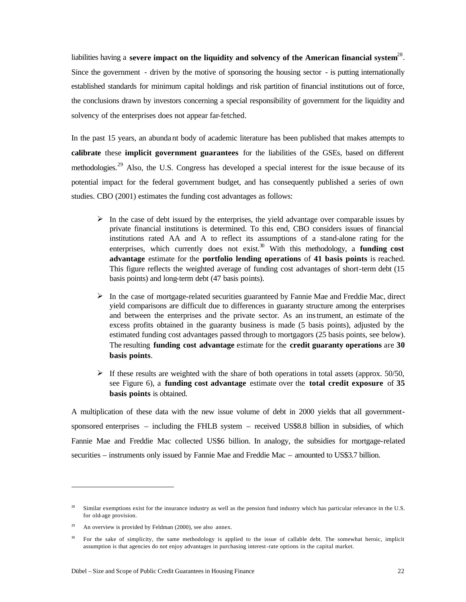liabilities having a severe impact on the liquidity and solvency of the American financial system<sup>28</sup>. Since the government - driven by the motive of sponsoring the housing sector - is putting internationally established standards for minimum capital holdings and risk partition of financial institutions out of force, the conclusions drawn by investors concerning a special responsibility of government for the liquidity and solvency of the enterprises does not appear far-fetched.

In the past 15 years, an abunda nt body of academic literature has been published that makes attempts to **calibrate** these **implicit government guarantees** for the liabilities of the GSEs, based on different methodologies.<sup>29</sup> Also, the U.S. Congress has developed a special interest for the issue because of its potential impact for the federal government budget, and has consequently published a series of own studies. CBO (2001) estimates the funding cost advantages as follows:

- $\triangleright$  In the case of debt issued by the enterprises, the yield advantage over comparable issues by private financial institutions is determined. To this end, CBO considers issues of financial institutions rated AA and A to reflect its assumptions of a stand-alone rating for the enterprises, which currently does not exist.<sup>30</sup> With this methodology, a **funding cost advantage** estimate for the **portfolio lending operations** of **41 basis points** is reached. This figure reflects the weighted average of funding cost advantages of short-term debt (15 basis points) and long-term debt (47 basis points).
- $\triangleright$  In the case of mortgage-related securities guaranteed by Fannie Mae and Freddie Mac, direct yield comparisons are difficult due to differences in guaranty structure among the enterprises and between the enterprises and the private sector. As an instrument, an estimate of the excess profits obtained in the guaranty business is made (5 basis points), adjusted by the estimated funding cost advantages passed through to mortgagors (25 basis points, see below). The resulting **funding cost advantage** estimate for the **credit guaranty operations** are **30 basis points**.
- $\geq$  If these results are weighted with the share of both operations in total assets (approx. 50/50, see Figure 6), a **funding cost advantage** estimate over the **total credit exposure** of **35 basis points** is obtained.

A multiplication of these data with the new issue volume of debt in 2000 yields that all governmentsponsored enterprises – including the FHLB system – received US\$8.8 billion in subsidies, of which Fannie Mae and Freddie Mac collected US\$6 billion. In analogy, the subsidies for mortgage-related securities – instruments only issued by Fannie Mae and Freddie Mac – amounted to US\$3.7 billion.

 $\overline{a}$ 

<sup>&</sup>lt;sup>28</sup> Similar exemptions exist for the insurance industry as well as the pension fund industry which has particular relevance in the U.S. for old-age provision.

 $29$  An overview is provided by Feldman (2000), see also annex.

<sup>&</sup>lt;sup>30</sup> For the sake of simplicity, the same methodology is applied to the issue of callable debt. The somewhat heroic, implicit assumption is that agencies do not enjoy advantages in purchasing interest-rate options in the capital market.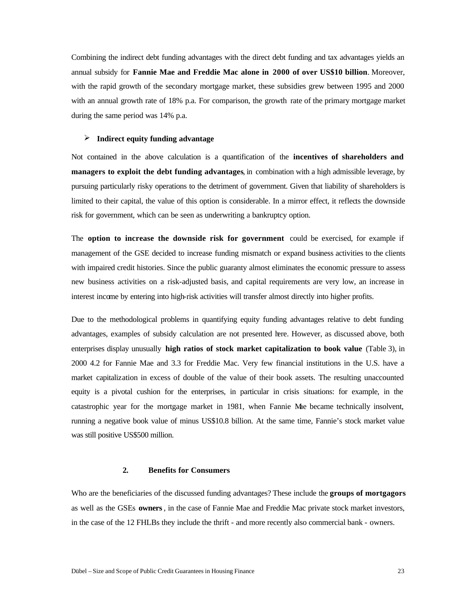Combining the indirect debt funding advantages with the direct debt funding and tax advantages yields an annual subsidy for **Fannie Mae and Freddie Mac alone in 2000 of over US\$10 billion**. Moreover, with the rapid growth of the secondary mortgage market, these subsidies grew between 1995 and 2000 with an annual growth rate of 18% p.a. For comparison, the growth rate of the primary mortgage market during the same period was 14% p.a.

#### ÿ **Indirect equity funding advantage**

Not contained in the above calculation is a quantification of the **incentives of shareholders and managers to exploit the debt funding advantages**, in combination with a high admissible leverage, by pursuing particularly risky operations to the detriment of government. Given that liability of shareholders is limited to their capital, the value of this option is considerable. In a mirror effect, it reflects the downside risk for government, which can be seen as underwriting a bankruptcy option.

The **option to increase the downside risk for government** could be exercised, for example if management of the GSE decided to increase funding mismatch or expand business activities to the clients with impaired credit histories. Since the public guaranty almost eliminates the economic pressure to assess new business activities on a risk-adjusted basis, and capital requirements are very low, an increase in interest income by entering into high-risk activities will transfer almost directly into higher profits.

Due to the methodological problems in quantifying equity funding advantages relative to debt funding advantages, examples of subsidy calculation are not presented here. However, as discussed above, both enterprises display unusually **high ratios of stock market capitalization to book value** (Table 3), in 2000 4.2 for Fannie Mae and 3.3 for Freddie Mac. Very few financial institutions in the U.S. have a market capitalization in excess of double of the value of their book assets. The resulting unaccounted equity is a pivotal cushion for the enterprises, in particular in crisis situations: for example, in the catastrophic year for the mortgage market in 1981, when Fannie Mae became technically insolvent, running a negative book value of minus US\$10.8 billion. At the same time, Fannie's stock market value was still positive US\$500 million.

#### **2. Benefits for Consumers**

Who are the beneficiaries of the discussed funding advantages? These include the **groups of mortgagors**  as well as the GSEs **owners**, in the case of Fannie Mae and Freddie Mac private stock market investors, in the case of the 12 FHLBs they include the thrift - and more recently also commercial bank - owners.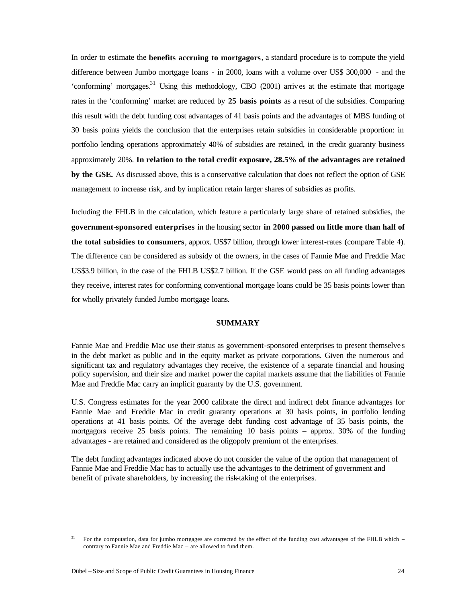In order to estimate the **benefits accruing to mortgagors**, a standard procedure is to compute the yield difference between Jumbo mortgage loans - in 2000, loans with a volume over US\$ 300,000 - and the 'conforming' mortgages.<sup>31</sup> Using this methodology, CBO (2001) arrives at the estimate that mortgage rates in the 'conforming' market are reduced by **25 basis points** as a resut of the subsidies. Comparing this result with the debt funding cost advantages of 41 basis points and the advantages of MBS funding of 30 basis points yields the conclusion that the enterprises retain subsidies in considerable proportion: in portfolio lending operations approximately 40% of subsidies are retained, in the credit guaranty business approximately 20%. **In relation to the total credit exposure, 28.5% of the advantages are retained by the GSE.** As discussed above, this is a conservative calculation that does not reflect the option of GSE management to increase risk, and by implication retain larger shares of subsidies as profits.

Including the FHLB in the calculation, which feature a particularly large share of retained subsidies, the **government-sponsored enterprises** in the housing sector **in 2000 passed on little more than half of the total subsidies to consumers**, approx. US\$7 billion, through lower interest-rates (compare Table 4). The difference can be considered as subsidy of the owners, in the cases of Fannie Mae and Freddie Mac US\$3.9 billion, in the case of the FHLB US\$2.7 billion. If the GSE would pass on all funding advantages they receive, interest rates for conforming conventional mortgage loans could be 35 basis points lower than for wholly privately funded Jumbo mortgage loans.

#### **SUMMARY**

Fannie Mae and Freddie Mac use their status as government-sponsored enterprises to present themselve s in the debt market as public and in the equity market as private corporations. Given the numerous and significant tax and regulatory advantages they receive, the existence of a separate financial and housing policy supervision, and their size and market power the capital markets assume that the liabilities of Fannie Mae and Freddie Mac carry an implicit guaranty by the U.S. government.

U.S. Congress estimates for the year 2000 calibrate the direct and indirect debt finance advantages for Fannie Mae and Freddie Mac in credit guaranty operations at 30 basis points, in portfolio lending operations at 41 basis points. Of the average debt funding cost advantage of 35 basis points, the mortgagors receive 25 basis points. The remaining 10 basis points – approx. 30% of the funding advantages - are retained and considered as the oligopoly premium of the enterprises.

The debt funding advantages indicated above do not consider the value of the option that management of Fannie Mae and Freddie Mac has to actually use the advantages to the detriment of government and benefit of private shareholders, by increasing the risk-taking of the enterprises.

<sup>31</sup> For the computation, data for jumbo mortgages are corrected by the effect of the funding cost advantages of the FHLB which – contrary to Fannie Mae and Freddie Mac – are allowed to fund them.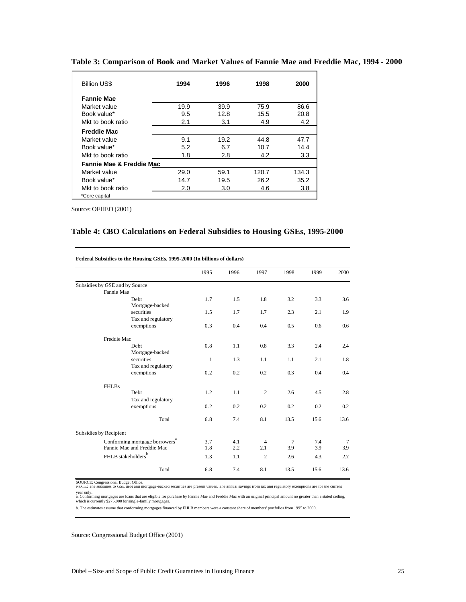| <b>Billion US\$</b>                 | 1994 | 1996 | 1998  | 2000  |
|-------------------------------------|------|------|-------|-------|
| <b>Fannie Mae</b>                   |      |      |       |       |
| Market value                        | 19.9 | 39.9 | 75.9  | 86.6  |
| Book value*                         | 9.5  | 12.8 | 15.5  | 20.8  |
| Mkt to book ratio                   | 2.1  | 3.1  | 4.9   | 4.2   |
| <b>Freddie Mac</b>                  |      |      |       |       |
| Market value                        | 9.1  | 19.2 | 44.8  | 47.7  |
| Book value*                         | 5.2  | 6.7  | 10.7  | 14.4  |
| Mkt to book ratio                   | 1.8  | 2.8  | 4.2   | 3.3   |
| <b>Fannie Mae &amp; Freddie Mac</b> |      |      |       |       |
| Market value                        | 29.0 | 59.1 | 120.7 | 134.3 |
| Book value*                         | 14.7 | 19.5 | 26.2  | 35.2  |
| Mkt to book ratio                   | 2.0  | 3.0  | 4.6   | 3.8   |
| *Core capital                       |      |      |       |       |

**Table 3: Comparison of Book and Market Values of Fannie Mae and Freddie Mac, 1994 - 2000**

Source: OFHEO (2001)

## **Table 4: CBO Calculations on Federal Subsidies to Housing GSEs, 1995-2000**

|                                |                                            | 1995                 | 1996    | 1997           | 1998           | 1999 | 2000           |
|--------------------------------|--------------------------------------------|----------------------|---------|----------------|----------------|------|----------------|
| Subsidies by GSE and by Source |                                            |                      |         |                |                |      |                |
| Fannie Mae                     |                                            |                      |         |                |                |      |                |
|                                | Debt.                                      | 1.7                  | 1.5     | 1.8            | 3.2            | 3.3  | 3.6            |
|                                | Mortgage-backed                            |                      |         |                |                |      |                |
|                                | securities                                 | 1.5                  | 1.7     | 1.7            | 2.3            | 2.1  | 1.9            |
|                                | Tax and regulatory                         |                      |         |                |                |      |                |
|                                | exemptions                                 | 0.3                  | 0.4     | 0.4            | 0.5            | 0.6  | 0.6            |
| Freddie Mac                    |                                            |                      |         |                |                |      |                |
|                                | <b>Debt</b>                                | 0.8                  | 1.1     | 0.8            | 3.3            | 2.4  | 2.4            |
|                                | Mortgage-backed                            |                      |         |                |                |      |                |
|                                | securities                                 | $\mathbf{1}$         | 1.3     | 1.1            | 1.1            | 2.1  | 1.8            |
|                                | Tax and regulatory                         |                      |         |                |                |      |                |
|                                | exemptions                                 | 0.2                  | 0.2     | 0.2            | 0.3            | 0.4  | 0.4            |
| <b>FHLBs</b>                   |                                            |                      |         |                |                |      |                |
|                                | Debt                                       | 1.2                  | 1.1     | 2              | 2.6            | 4.5  | 2.8            |
|                                | Tax and regulatory                         |                      |         |                |                |      |                |
|                                | exemptions                                 | 0.2                  | 0.2     | 02             | 02             | 02   | 02             |
|                                | Total                                      | 6.8                  | 7.4     | 8.1            | 13.5           | 15.6 | 13.6           |
| Subsidies by Recipient         |                                            |                      |         |                |                |      |                |
|                                | Conforming mortgage borrowers <sup>4</sup> | 3.7                  | 4.1     | $\overline{4}$ | $\overline{7}$ | 7.4  | $\overline{7}$ |
|                                | Fannie Mae and Freddie Mac                 | 1.8                  | 2.2     | 2.1            | 3.9            | 3.9  | 3.9            |
|                                | FHLB stakeholders                          | $\perp$ <sup>3</sup> | $\perp$ | $\overline{2}$ | 26             | 43   | 27             |
|                                |                                            |                      |         |                |                |      |                |
|                                | Total                                      | 6.8                  | 7.4     | 8.1            | 13.5           | 15.6 | 13.6           |

NOTE: The subsidies to GSE debt and mortgage-backed securities are present values. The annual savings from tax and regulatory exemptions are for the current SOURCE: Congressional Budget Office.

year only.<br>a. Contorming mortgages are toans that are etigible for purchase by Fannie Mae and Freddie Mac with an original principal amount no greater than a stated ceiling,<br>which is currently \$275,000 for single-family mo

b. The estimates assume that conforming mortgages financed by FHLB members were a constant share of members' portfolios from 1995 to 2000.

Source: Congressional Budget Office (2001)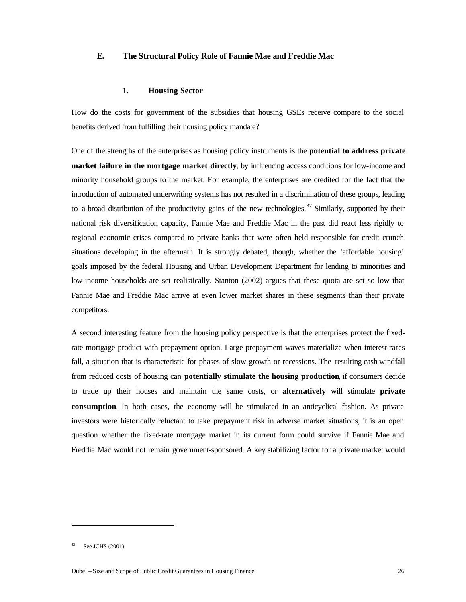## **E. The Structural Policy Role of Fannie Mae and Freddie Mac**

#### **1. Housing Sector**

How do the costs for government of the subsidies that housing GSEs receive compare to the social benefits derived from fulfilling their housing policy mandate?

One of the strengths of the enterprises as housing policy instruments is the **potential to address private market failure in the mortgage market directly**, by influencing access conditions for low-income and minority household groups to the market. For example, the enterprises are credited for the fact that the introduction of automated underwriting systems has not resulted in a discrimination of these groups, leading to a broad distribution of the productivity gains of the new technologies.<sup>32</sup> Similarly, supported by their national risk diversification capacity, Fannie Mae and Freddie Mac in the past did react less rigidly to regional economic crises compared to private banks that were often held responsible for credit crunch situations developing in the aftermath. It is strongly debated, though, whether the 'affordable housing' goals imposed by the federal Housing and Urban Development Department for lending to minorities and low-income households are set realistically. Stanton (2002) argues that these quota are set so low that Fannie Mae and Freddie Mac arrive at even lower market shares in these segments than their private competitors.

A second interesting feature from the housing policy perspective is that the enterprises protect the fixedrate mortgage product with prepayment option. Large prepayment waves materialize when interest-rates fall, a situation that is characteristic for phases of slow growth or recessions. The resulting cash windfall from reduced costs of housing can **potentially stimulate the housing production**, if consumers decide to trade up their houses and maintain the same costs, or **alternatively** will stimulate **private consumption**. In both cases, the economy will be stimulated in an anticyclical fashion. As private investors were historically reluctant to take prepayment risk in adverse market situations, it is an open question whether the fixed-rate mortgage market in its current form could survive if Fannie Mae and Freddie Mac would not remain government-sponsored. A key stabilizing factor for a private market would

See JCHS (2001).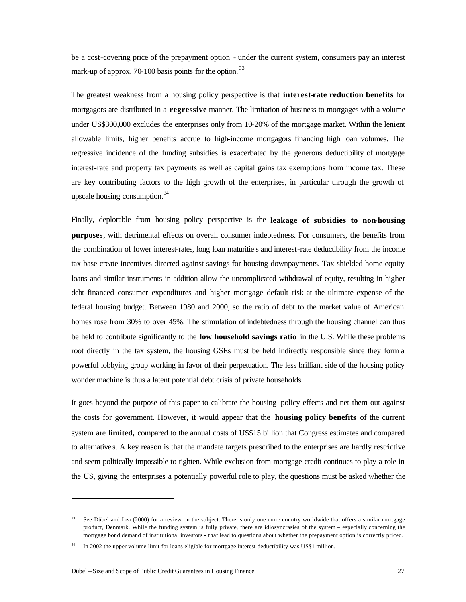be a cost-covering price of the prepayment option - under the current system, consumers pay an interest mark-up of approx. 70-100 basis points for the option.<sup>33</sup>

The greatest weakness from a housing policy perspective is that **interest-rate reduction benefits** for mortgagors are distributed in a **regressive** manner. The limitation of business to mortgages with a volume under US\$300,000 excludes the enterprises only from 10-20% of the mortgage market. Within the lenient allowable limits, higher benefits accrue to high-income mortgagors financing high loan volumes. The regressive incidence of the funding subsidies is exacerbated by the generous deductibility of mortgage interest-rate and property tax payments as well as capital gains tax exemptions from income tax. These are key contributing factors to the high growth of the enterprises, in particular through the growth of upscale housing consumption.<sup>34</sup>

Finally, deplorable from housing policy perspective is the **leakage of subsidies to non-housing purposes**, with detrimental effects on overall consumer indebtedness. For consumers, the benefits from the combination of lower interest-rates, long loan maturitie s and interest-rate deductibility from the income tax base create incentives directed against savings for housing downpayments. Tax shielded home equity loans and similar instruments in addition allow the uncomplicated withdrawal of equity, resulting in higher debt-financed consumer expenditures and higher mortgage default risk at the ultimate expense of the federal housing budget. Between 1980 and 2000, so the ratio of debt to the market value of American homes rose from 30% to over 45%. The stimulation of indebtedness through the housing channel can thus be held to contribute significantly to the **low household savings ratio** in the U.S. While these problems root directly in the tax system, the housing GSEs must be held indirectly responsible since they form a powerful lobbying group working in favor of their perpetuation. The less brilliant side of the housing policy wonder machine is thus a latent potential debt crisis of private households.

It goes beyond the purpose of this paper to calibrate the housing policy effects and net them out against the costs for government. However, it would appear that the **housing policy benefits** of the current system are **limited,** compared to the annual costs of US\$15 billion that Congress estimates and compared to alternative s. A key reason is that the mandate targets prescribed to the enterprises are hardly restrictive and seem politically impossible to tighten. While exclusion from mortgage credit continues to play a role in the US, giving the enterprises a potentially powerful role to play, the questions must be asked whether the

 $33$  See Dübel and Lea (2000) for a review on the subject. There is only one more country worldwide that offers a similar mortgage product, Denmark. While the funding system is fully private, there are idiosyncrasies of the system – especially concerning the mortgage bond demand of institutional investors - that lead to questions about whether the prepayment option is correctly priced.

In 2002 the upper volume limit for loans eligible for mortgage interest deductibility was US\$1 million.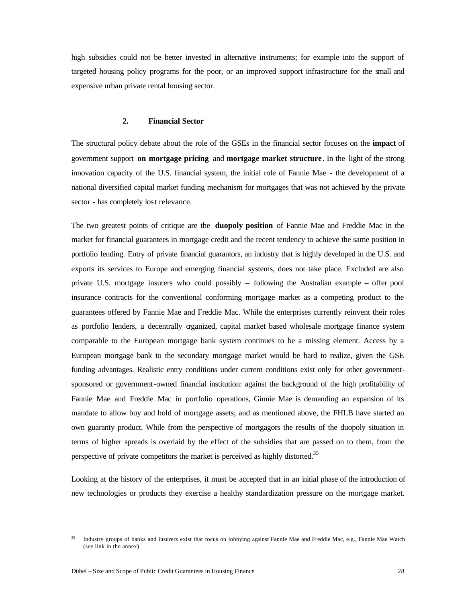high subsidies could not be better invested in alternative instruments; for example into the support of targeted housing policy programs for the poor, or an improved support infrastructure for the small and expensive urban private rental housing sector.

#### **2. Financial Sector**

The structural policy debate about the role of the GSEs in the financial sector focuses on the **impact** of government support **on mortgage pricing** and **mortgage market structure**. In the light of the strong innovation capacity of the U.S. financial system, the initial role of Fannie Mae - the development of a national diversified capital market funding mechanism for mortgages that was not achieved by the private sector - has completely lost relevance.

The two greatest points of critique are the **duopoly position** of Fannie Mae and Freddie Mac in the market for financial guarantees in mortgage credit and the recent tendency to achieve the same position in portfolio lending. Entry of private financial guarantors, an industry that is highly developed in the U.S. and exports its services to Europe and emerging financial systems, does not take place. Excluded are also private U.S. mortgage insurers who could possibly – following the Australian example – offer pool insurance contracts for the conventional conforming mortgage market as a competing product to the guarantees offered by Fannie Mae and Freddie Mac. While the enterprises currently reinvent their roles as portfolio lenders, a decentrally organized, capital market based wholesale mortgage finance system comparable to the European mortgage bank system continues to be a missing element. Access by a European mortgage bank to the secondary mortgage market would be hard to realize, given the GSE funding advantages. Realistic entry conditions under current conditions exist only for other governmentsponsored or government-owned financial institution: against the background of the high profitability of Fannie Mae and Freddie Mac in portfolio operations, Ginnie Mae is demanding an expansion of its mandate to allow buy and hold of mortgage assets; and as mentioned above, the FHLB have started an own guaranty product. While from the perspective of mortgagors the results of the duopoly situation in terms of higher spreads is overlaid by the effect of the subsidies that are passed on to them, from the perspective of private competitors the market is perceived as highly distorted.<sup>35</sup>

Looking at the history of the enterprises, it must be accepted that in an initial phase of the introduction of new technologies or products they exercise a healthy standardization pressure on the mortgage market.

<sup>35</sup> Industry groups of banks and insurers exist that focus on lobbying against Fannie Mae and Freddie Mac, e.g., Fannie Mae Watch (see link in the annex)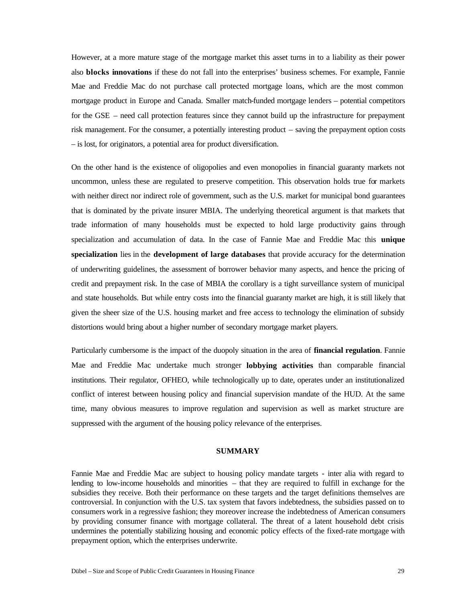However, at a more mature stage of the mortgage market this asset turns in to a liability as their power also **blocks innovations** if these do not fall into the enterprises' business schemes. For example, Fannie Mae and Freddie Mac do not purchase call protected mortgage loans, which are the most common mortgage product in Europe and Canada. Smaller match-funded mortgage lenders – potential competitors for the GSE – need call protection features since they cannot build up the infrastructure for prepayment risk management. For the consumer, a potentially interesting product – saving the prepayment option costs – is lost, for originators, a potential area for product diversification.

On the other hand is the existence of oligopolies and even monopolies in financial guaranty markets not uncommon, unless these are regulated to preserve competition. This observation holds true for markets with neither direct nor indirect role of government, such as the U.S. market for municipal bond guarantees that is dominated by the private insurer MBIA. The underlying theoretical argument is that markets that trade information of many households must be expected to hold large productivity gains through specialization and accumulation of data. In the case of Fannie Mae and Freddie Mac this **unique specialization** lies in the **development of large databases** that provide accuracy for the determination of underwriting guidelines, the assessment of borrower behavior many aspects, and hence the pricing of credit and prepayment risk. In the case of MBIA the corollary is a tight surveillance system of municipal and state households. But while entry costs into the financial guaranty market are high, it is still likely that given the sheer size of the U.S. housing market and free access to technology the elimination of subsidy distortions would bring about a higher number of secondary mortgage market players.

Particularly cumbersome is the impact of the duopoly situation in the area of **financial regulation**. Fannie Mae and Freddie Mac undertake much stronger **lobbying activities** than comparable financial institutions. Their regulator, OFHEO, while technologically up to date, operates under an institutionalized conflict of interest between housing policy and financial supervision mandate of the HUD. At the same time, many obvious measures to improve regulation and supervision as well as market structure are suppressed with the argument of the housing policy relevance of the enterprises.

## **SUMMARY**

Fannie Mae and Freddie Mac are subject to housing policy mandate targets - inter alia with regard to lending to low-income households and minorities – that they are required to fulfill in exchange for the subsidies they receive. Both their performance on these targets and the target definitions themselves are controversial. In conjunction with the U.S. tax system that favors indebtedness, the subsidies passed on to consumers work in a regressive fashion; they moreover increase the indebtedness of American consumers by providing consumer finance with mortgage collateral. The threat of a latent household debt crisis undermines the potentially stabilizing housing and economic policy effects of the fixed-rate mortgage with prepayment option, which the enterprises underwrite.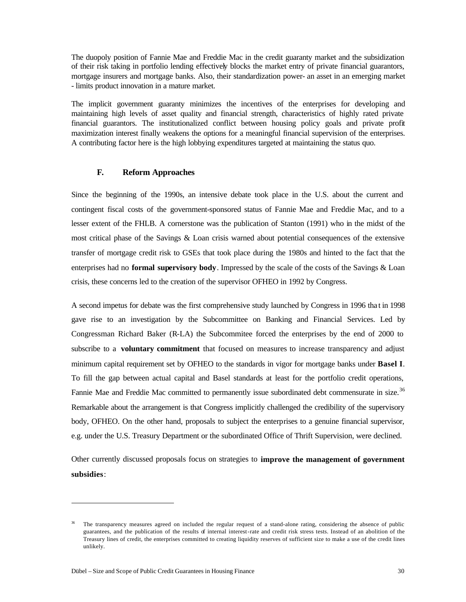The duopoly position of Fannie Mae and Freddie Mac in the credit guaranty market and the subsidization of their risk taking in portfolio lending effectively blocks the market entry of private financial guarantors, mortgage insurers and mortgage banks. Also, their standardization power- an asset in an emerging market - limits product innovation in a mature market.

The implicit government guaranty minimizes the incentives of the enterprises for developing and maintaining high levels of asset quality and financial strength, characteristics of highly rated private financial guarantors. The institutionalized conflict between housing policy goals and private profit maximization interest finally weakens the options for a meaningful financial supervision of the enterprises. A contributing factor here is the high lobbying expenditures targeted at maintaining the status quo.

## **F. Reform Approaches**

Since the beginning of the 1990s, an intensive debate took place in the U.S. about the current and contingent fiscal costs of the government-sponsored status of Fannie Mae and Freddie Mac, and to a lesser extent of the FHLB. A cornerstone was the publication of Stanton (1991) who in the midst of the most critical phase of the Savings & Loan crisis warned about potential consequences of the extensive transfer of mortgage credit risk to GSEs that took place during the 1980s and hinted to the fact that the enterprises had no **formal supervisory body**. Impressed by the scale of the costs of the Savings & Loan crisis, these concerns led to the creation of the supervisor OFHEO in 1992 by Congress.

A second impetus for debate was the first comprehensive study launched by Congress in 1996 tha t in 1998 gave rise to an investigation by the Subcommittee on Banking and Financial Services. Led by Congressman Richard Baker (R-LA) the Subcommitee forced the enterprises by the end of 2000 to subscribe to a **voluntary commitment** that focused on measures to increase transparency and adjust minimum capital requirement set by OFHEO to the standards in vigor for mortgage banks under **Basel I**. To fill the gap between actual capital and Basel standards at least for the portfolio credit operations, Fannie Mae and Freddie Mac committed to permanently issue subordinated debt commensurate in size.<sup>36</sup> Remarkable about the arrangement is that Congress implicitly challenged the credibility of the supervisory body, OFHEO. On the other hand, proposals to subject the enterprises to a genuine financial supervisor, e.g. under the U.S. Treasury Department or the subordinated Office of Thrift Supervision, were declined.

Other currently discussed proposals focus on strategies to **improve the management of government subsidies**:

 $\overline{a}$ 

<sup>&</sup>lt;sup>36</sup> The transparency measures agreed on included the regular request of a stand-alone rating, considering the absence of public guarantees, and the publication of the results of internal interest-rate and credit risk stress tests. Instead of an abolition of the Treasury lines of credit, the enterprises committed to creating liquidity reserves of sufficient size to make a use of the credit lines unlikely.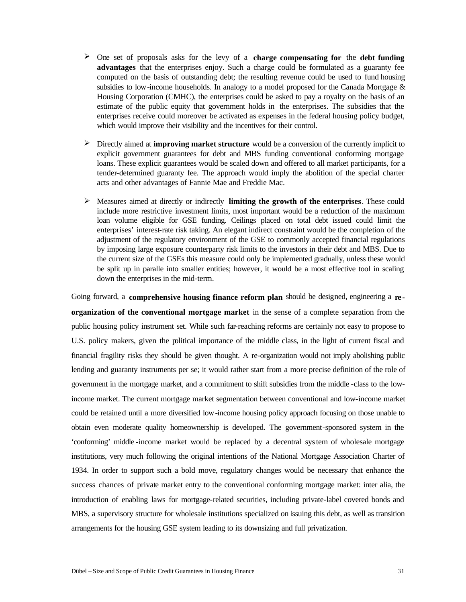- ÿ One set of proposals asks for the levy of a **charge compensating for** the **debt funding advantages** that the enterprises enjoy. Such a charge could be formulated as a guaranty fee computed on the basis of outstanding debt; the resulting revenue could be used to fund housing subsidies to low-income households. In analogy to a model proposed for the Canada Mortgage & Housing Corporation (CMHC), the enterprises could be asked to pay a royalty on the basis of an estimate of the public equity that government holds in the enterprises. The subsidies that the enterprises receive could moreover be activated as expenses in the federal housing policy budget, which would improve their visibility and the incentives for their control.
- ÿ Directly aimed at **improving market structure** would be a conversion of the currently implicit to explicit government guarantees for debt and MBS funding conventional conforming mortgage loans. These explicit guarantees would be scaled down and offered to all market participants, for a tender-determined guaranty fee. The approach would imply the abolition of the special charter acts and other advantages of Fannie Mae and Freddie Mac.
- $\triangleright$  Measures aimed at directly or indirectly **limiting the growth of the enterprises**. These could include more restrictive investment limits, most important would be a reduction of the maximum loan volume eligible for GSE funding. Ceilings placed on total debt issued could limit the enterprises' interest-rate risk taking. An elegant indirect constraint would be the completion of the adjustment of the regulatory environment of the GSE to commonly accepted financial regulations by imposing large exposure counterparty risk limits to the investors in their debt and MBS. Due to the current size of the GSEs this measure could only be implemented gradually, unless these would be split up in paralle into smaller entities; however, it would be a most effective tool in scaling down the enterprises in the mid-term.

Going forward, a **comprehensive housing finance reform plan** should be designed, engineering a **re organization of the conventional mortgage market** in the sense of a complete separation from the public housing policy instrument set. While such far-reaching reforms are certainly not easy to propose to U.S. policy makers, given the political importance of the middle class, in the light of current fiscal and financial fragility risks they should be given thought. A re-organization would not imply abolishing public lending and guaranty instruments per se; it would rather start from a more precise definition of the role of government in the mortgage market, and a commitment to shift subsidies from the middle -class to the lowincome market. The current mortgage market segmentation between conventional and low-income market could be retained until a more diversified low-income housing policy approach focusing on those unable to obtain even moderate quality homeownership is developed. The government-sponsored system in the 'conforming' middle -income market would be replaced by a decentral system of wholesale mortgage institutions, very much following the original intentions of the National Mortgage Association Charter of 1934. In order to support such a bold move, regulatory changes would be necessary that enhance the success chances of private market entry to the conventional conforming mortgage market: inter alia, the introduction of enabling laws for mortgage-related securities, including private-label covered bonds and MBS, a supervisory structure for wholesale institutions specialized on issuing this debt, as well as transition arrangements for the housing GSE system leading to its downsizing and full privatization.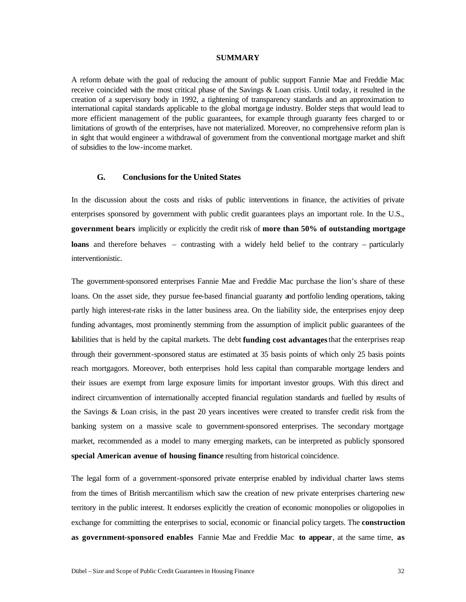#### **SUMMARY**

A reform debate with the goal of reducing the amount of public support Fannie Mae and Freddie Mac receive coincided with the most critical phase of the Savings & Loan crisis. Until today, it resulted in the creation of a supervisory body in 1992, a tightening of transparency standards and an approximation to international capital standards applicable to the global mortgage industry. Bolder steps that would lead to more efficient management of the public guarantees, for example through guaranty fees charged to or limitations of growth of the enterprises, have not materialized. Moreover, no comprehensive reform plan is in sight that would engineer a withdrawal of government from the conventional mortgage market and shift of subsidies to the low-income market.

## **G. Conclusions for the United States**

In the discussion about the costs and risks of public interventions in finance, the activities of private enterprises sponsored by government with public credit guarantees plays an important role. In the U.S., **government bears** implicitly or explicitly the credit risk of **more than 50% of outstanding mortgage loans** and therefore behaves – contrasting with a widely held belief to the contrary – particularly interventionistic.

The government-sponsored enterprises Fannie Mae and Freddie Mac purchase the lion's share of these loans. On the asset side, they pursue fee-based financial guaranty and portfolio lending operations, taking partly high interest-rate risks in the latter business area. On the liability side, the enterprises enjoy deep funding advantages, most prominently stemming from the assumption of implicit public guarantees of the liabilities that is held by the capital markets. The debt **funding cost advantages** that the enterprises reap through their government-sponsored status are estimated at 35 basis points of which only 25 basis points reach mortgagors. Moreover, both enterprises hold less capital than comparable mortgage lenders and their issues are exempt from large exposure limits for important investor groups. With this direct and indirect circumvention of internationally accepted financial regulation standards and fuelled by results of the Savings & Loan crisis, in the past 20 years incentives were created to transfer credit risk from the banking system on a massive scale to government-sponsored enterprises. The secondary mortgage market, recommended as a model to many emerging markets, can be interpreted as publicly sponsored **special American avenue of housing finance** resulting from historical coincidence.

The legal form of a government-sponsored private enterprise enabled by individual charter laws stems from the times of British mercantilism which saw the creation of new private enterprises chartering new territory in the public interest. It endorses explicitly the creation of economic monopolies or oligopolies in exchange for committing the enterprises to social, economic or financial policy targets. The **construction as government-sponsored enables** Fannie Mae and Freddie Mac **to appear**, at the same time, **as**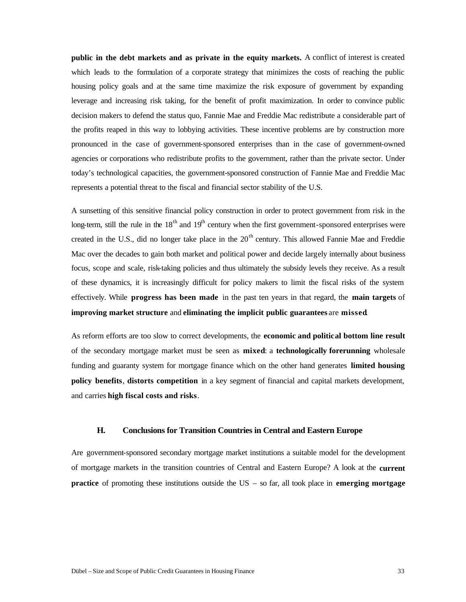**public in the debt markets and as private in the equity markets.** A conflict of interest is created which leads to the formulation of a corporate strategy that minimizes the costs of reaching the public housing policy goals and at the same time maximize the risk exposure of government by expanding leverage and increasing risk taking, for the benefit of profit maximization. In order to convince public decision makers to defend the status quo, Fannie Mae and Freddie Mac redistribute a considerable part of the profits reaped in this way to lobbying activities. These incentive problems are by construction more pronounced in the case of government-sponsored enterprises than in the case of government-owned agencies or corporations who redistribute profits to the government, rather than the private sector. Under today's technological capacities, the government-sponsored construction of Fannie Mae and Freddie Mac represents a potential threat to the fiscal and financial sector stability of the U.S.

A sunsetting of this sensitive financial policy construction in order to protect government from risk in the long-term, still the rule in the  $18<sup>th</sup>$  and  $19<sup>th</sup>$  century when the first government-sponsored enterprises were created in the U.S., did no longer take place in the  $20<sup>th</sup>$  century. This allowed Fannie Mae and Freddie Mac over the decades to gain both market and political power and decide largely internally about business focus, scope and scale, risk-taking policies and thus ultimately the subsidy levels they receive. As a result of these dynamics, it is increasingly difficult for policy makers to limit the fiscal risks of the system effectively. While **progress has been made** in the past ten years in that regard, the **main targets** of **improving market structure** and **eliminating the implicit public guarantees** are **missed**.

As reform efforts are too slow to correct developments, the **economic and political bottom line result**  of the secondary mortgage market must be seen as **mixed**: a **technologically forerunning** wholesale funding and guaranty system for mortgage finance which on the other hand generates **limited housing policy benefits**, **distorts competition** in a key segment of financial and capital markets development, and carries **high fiscal costs and risks**.

## **H. Conclusions for Transition Countries in Central and Eastern Europe**

Are government-sponsored secondary mortgage market institutions a suitable model for the development of mortgage markets in the transition countries of Central and Eastern Europe? A look at the **current practice** of promoting these institutions outside the US – so far, all took place in **emerging mortgage**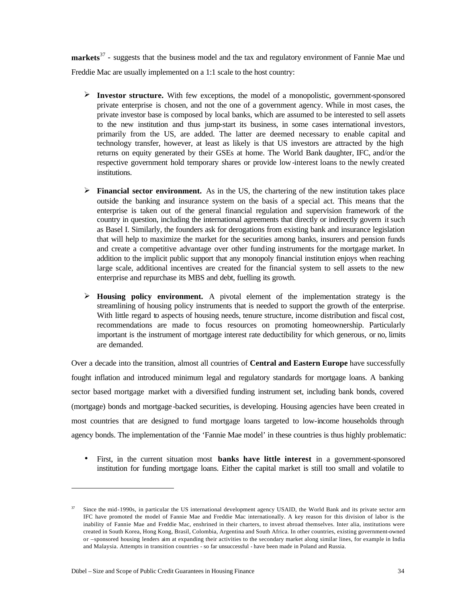**markets**<sup>37</sup> - suggests that the business model and the tax and regulatory environment of Fannie Mae und Freddie Mac are usually implemented on a 1:1 scale to the host country:

- ÿ **Investor structure.** With few exceptions, the model of a monopolistic, government-sponsored private enterprise is chosen, and not the one of a government agency. While in most cases, the private investor base is composed by local banks, which are assumed to be interested to sell assets to the new institution and thus jump-start its business, in some cases international investors, primarily from the US, are added. The latter are deemed necessary to enable capital and technology transfer, however, at least as likely is that US investors are attracted by the high returns on equity generated by their GSEs at home. The World Bank daughter, IFC, and/or the respective government hold temporary shares or provide low-interest loans to the newly created institutions.
- $\triangleright$  **Financial sector environment.** As in the US, the chartering of the new institution takes place outside the banking and insurance system on the basis of a special act. This means that the enterprise is taken out of the general financial regulation and supervision framework of the country in question, including the international agreements that directly or indirectly govern it such as Basel I. Similarly, the founders ask for derogations from existing bank and insurance legislation that will help to maximize the market for the securities among banks, insurers and pension funds and create a competitive advantage over other funding instruments for the mortgage market. In addition to the implicit public support that any monopoly financial institution enjoys when reaching large scale, additional incentives are created for the financial system to sell assets to the new enterprise and repurchase its MBS and debt, fuelling its growth.
- $\triangleright$  **Housing policy environment.** A pivotal element of the implementation strategy is the streamlining of housing policy instruments that is needed to support the growth of the enterprise. With little regard to aspects of housing needs, tenure structure, income distribution and fiscal cost, recommendations are made to focus resources on promoting homeownership. Particularly important is the instrument of mortgage interest rate deductibility for which generous, or no, limits are demanded.

Over a decade into the transition, almost all countries of **Central and Eastern Europe** have successfully fought inflation and introduced minimum legal and regulatory standards for mortgage loans. A banking sector based mortgage market with a diversified funding instrument set, including bank bonds, covered (mortgage) bonds and mortgage -backed securities, is developing. Housing agencies have been created in most countries that are designed to fund mortgage loans targeted to low-income households through agency bonds. The implementation of the 'Fannie Mae model' in these countries is thus highly problematic:

• First, in the current situation most **banks have little interest** in a government-sponsored institution for funding mortgage loans. Either the capital market is still too small and volatile to

 $\overline{a}$ 

<sup>&</sup>lt;sup>37</sup> Since the mid-1990s, in particular the US international development agency USAID, the World Bank and its private sector arm IFC have promoted the model of Fannie Mae and Freddie Mac internationally. A key reason for this division of labor is the inability of Fannie Mae and Freddie Mac, enshrined in their charters, to invest abroad themselves. Inter alia, institutions were created in South Korea, Hong Kong, Brasil, Colombia, Argentina and South Africa. In other countries, existing government-owned or –sponsored housing lenders aim at expanding their activities to the secondary market along similar lines, for example in India and Malaysia. Attempts in transition countries - so far unsuccessful - have been made in Poland and Russia.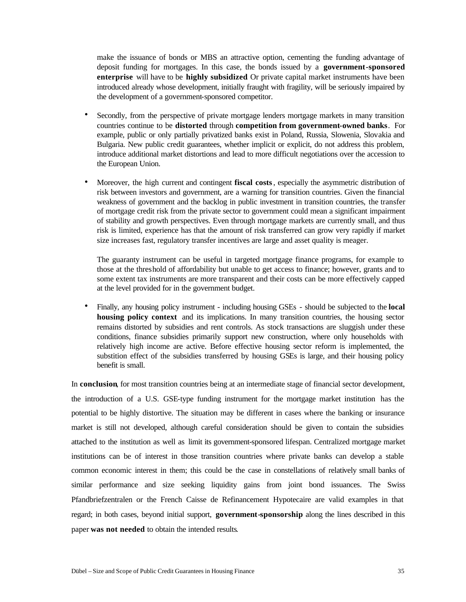make the issuance of bonds or MBS an attractive option, cementing the funding advantage of deposit funding for mortgages. In this case, the bonds issued by a **government-sponsored enterprise** will have to be **highly subsidized**. Or private capital market instruments have been introduced already whose development, initially fraught with fragility, will be seriously impaired by the development of a government-sponsored competitor.

- Secondly, from the perspective of private mortgage lenders mortgage markets in many transition countries continue to be **distorted** through **competition from government-owned banks**. For example, public or only partially privatized banks exist in Poland, Russia, Slowenia, Slovakia and Bulgaria. New public credit guarantees, whether implicit or explicit, do not address this problem, introduce additional market distortions and lead to more difficult negotiations over the accession to the European Union.
- Moreover, the high current and contingent **fiscal costs**, especially the asymmetric distribution of risk between investors and government, are a warning for transition countries. Given the financial weakness of government and the backlog in public investment in transition countries, the transfer of mortgage credit risk from the private sector to government could mean a significant impairment of stability and growth perspectives. Even through mortgage markets are currently small, and thus risk is limited, experience has that the amount of risk transferred can grow very rapidly if market size increases fast, regulatory transfer incentives are large and asset quality is meager.

The guaranty instrument can be useful in targeted mortgage finance programs, for example to those at the threshold of affordability but unable to get access to finance; however, grants and to some extent tax instruments are more transparent and their costs can be more effectively capped at the level provided for in the government budget.

• Finally, any housing policy instrument - including housing GSEs - should be subjected to the **local housing policy context** and its implications. In many transition countries, the housing sector remains distorted by subsidies and rent controls. As stock transactions are sluggish under these conditions, finance subsidies primarily support new construction, where only households with relatively high income are active. Before effective housing sector reform is implemented, the substition effect of the subsidies transferred by housing GSEs is large, and their housing policy benefit is small.

In **conclusion**, for most transition countries being at an intermediate stage of financial sector development, the introduction of a U.S. GSE-type funding instrument for the mortgage market institution has the potential to be highly distortive. The situation may be different in cases where the banking or insurance market is still not developed, although careful consideration should be given to contain the subsidies attached to the institution as well as limit its government-sponsored lifespan. Centralized mortgage market institutions can be of interest in those transition countries where private banks can develop a stable common economic interest in them; this could be the case in constellations of relatively small banks of similar performance and size seeking liquidity gains from joint bond issuances. The Swiss Pfandbriefzentralen or the French Caisse de Refinancement Hypotecaire are valid examples in that regard; in both cases, beyond initial support, **government-sponsorship** along the lines described in this paper **was not needed** to obtain the intended results.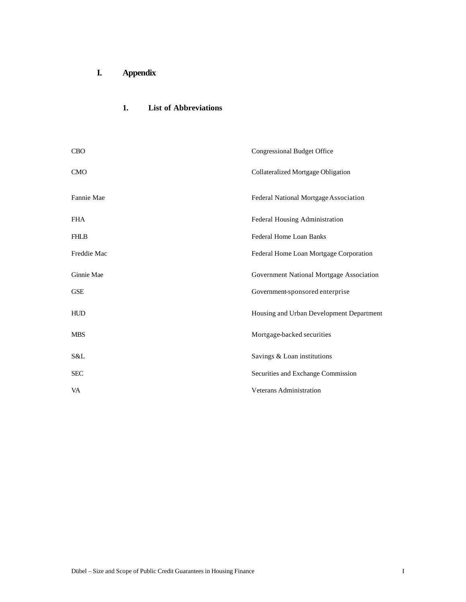**I. Appendix**

## **1. List of Abbreviations**

| <b>CBO</b>  | <b>Congressional Budget Office</b>       |
|-------------|------------------------------------------|
| <b>CMO</b>  | Collateralized Mortgage Obligation       |
| Fannie Mae  | Federal National Mortgage Association    |
| <b>FHA</b>  | Federal Housing Administration           |
| <b>FHLB</b> | Federal Home Loan Banks                  |
| Freddie Mac | Federal Home Loan Mortgage Corporation   |
| Ginnie Mae  | Government National Mortgage Association |
| <b>GSE</b>  | Government-sponsored enterprise          |
| <b>HUD</b>  | Housing and Urban Development Department |
| <b>MBS</b>  | Mortgage-backed securities               |
| S&L         | Savings & Loan institutions              |
| <b>SEC</b>  | Securities and Exchange Commission       |
| VA          | Veterans Administration                  |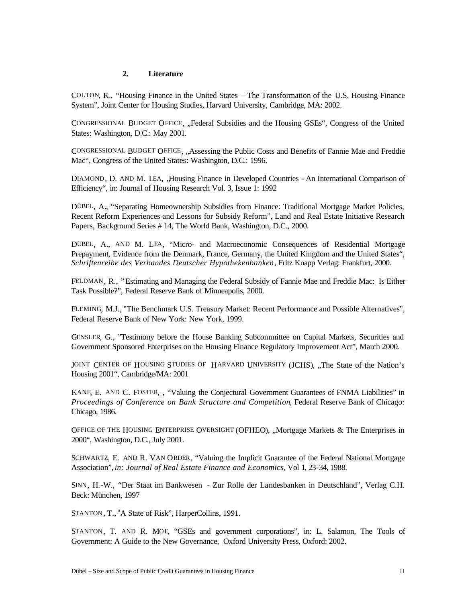## **2. Literature**

COLTON, K., "Housing Finance in the United States – The Transformation of the U.S. Housing Finance System", Joint Center for Housing Studies, Harvard University, Cambridge, MA: 2002.

CONGRESSIONAL BUDGET OFFICE, "Federal Subsidies and the Housing GSEs", Congress of the United States: Washington, D.C.: May 2001.

CONGRESSIONAL BUDGET OFFICE, "Assessing the Public Costs and Benefits of Fannie Mae and Freddie Mac", Congress of the United States: Washington, D.C.: 1996.

DIAMOND, D. AND M. LEA, Housing Finance in Developed Countries - An International Comparison of Efficiency", in: Journal of Housing Research Vol. 3, Issue 1: 1992

DÜBEL, A., "Separating Homeownership Subsidies from Finance: Traditional Mortgage Market Policies, Recent Reform Experiences and Lessons for Subsidy Reform", Land and Real Estate Initiative Research Papers, Background Series # 14, The World Bank, Washington, D.C., 2000.

DÜBEL, A., AND M. LEA, "Micro- and Macroeconomic Consequences of Residential Mortgage Prepayment, Evidence from the Denmark, France, Germany, the United Kingdom and the United States", *Schriftenreihe des Verbandes Deutscher Hypothekenbanken*, Fritz Knapp Verlag: Frankfurt, 2000.

FELDMAN, R., " Estimating and Managing the Federal Subsidy of Fannie Mae and Freddie Mac: Is Either Task Possible?", Federal Reserve Bank of Minneapolis, 2000.

FLEMING, M.J., "The Benchmark U.S. Treasury Market: Recent Performance and Possible Alternatives", Federal Reserve Bank of New York: New York, 1999.

GENSLER, G., "Testimony before the House Banking Subcommittee on Capital Markets, Securities and Government Sponsored Enterprises on the Housing Finance Regulatory Improvement Act", March 2000.

JOINT CENTER OF HOUSING STUDIES OF HARVARD UNIVERSITY (JCHS), ...The State of the Nation's Housing 2001", Cambridge/MA: 2001

KANE, E. AND C. FOSTER, , "Valuing the Conjectural Government Guarantees of FNMA Liabilities" in *Proceedings of Conference on Bank Structure and Competition*, Federal Reserve Bank of Chicago: Chicago, 1986.

OFFICE OF THE HOUSING ENTERPRISE OVERSIGHT (OFHEO), "Mortgage Markets & The Enterprises in 2000", Washington, D.C., July 2001.

SCHWARTZ, E. AND R. VAN ORDER, "Valuing the Implicit Guarantee of the Federal National Mortgage Association",*in: Journal of Real Estate Finance and Economics,* Vol 1, 23-34, 1988.

SINN, H.-W., "Der Staat im Bankwesen - Zur Rolle der Landesbanken in Deutschland", Verlag C.H. Beck: München, 1997

STANTON, T., "A State of Risk", HarperCollins, 1991.

STANTON, T. AND R. MOE, "GSEs and government corporations", in: L. Salamon, The Tools of Government: A Guide to the New Governance, Oxford University Press, Oxford: 2002.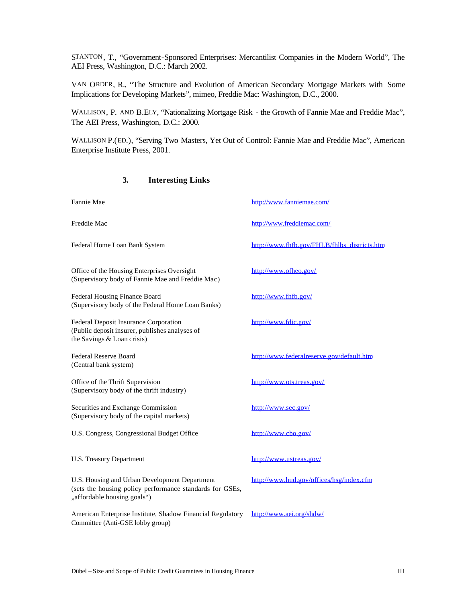STANTON, T., "Government-Sponsored Enterprises: Mercantilist Companies in the Modern World", The AEI Press, Washington, D.C.: March 2002.

VAN ORDER, R., "The Structure and Evolution of American Secondary Mortgage Markets with Some Implications for Developing Markets", mimeo, Freddie Mac: Washington, D.C., 2000.

WALLISON, P. AND B.ELY, "Nationalizing Mortgage Risk - the Growth of Fannie Mae and Freddie Mac", The AEI Press, Washington, D.C.: 2000.

WALLISON P.(ED.), "Serving Two Masters, Yet Out of Control: Fannie Mae and Freddie Mac", American Enterprise Institute Press, 2001.

## **3. Interesting Links**

| Fannie Mae                                                                                                                               | http://www.fanniemae.com/                    |
|------------------------------------------------------------------------------------------------------------------------------------------|----------------------------------------------|
| Freddie Mac                                                                                                                              | http://www.freddiemac.com/                   |
| Federal Home Loan Bank System                                                                                                            | http://www.fhfb.gov/FHLB/fhlbs_districts.htm |
| Office of the Housing Enterprises Oversight<br>(Supervisory body of Fannie Mae and Freddie Mac)                                          | http://www.ofheo.gov/                        |
| Federal Housing Finance Board<br>(Supervisory body of the Federal Home Loan Banks)                                                       | http://www.fhfb.gov/                         |
| Federal Deposit Insurance Corporation<br>(Public deposit insurer, publishes analyses of<br>the Savings & Loan crisis)                    | http://www.fdic.gov/                         |
| Federal Reserve Board<br>(Central bank system)                                                                                           | http://www.federalreserve.gov/default.htm    |
| Office of the Thrift Supervision<br>(Supervisory body of the thrift industry)                                                            | http://www.ots.treas.gov/                    |
| Securities and Exchange Commission<br>(Supervisory body of the capital markets)                                                          | http://www.sec.gov/                          |
| U.S. Congress, Congressional Budget Office                                                                                               | http://www.cbo.gov/                          |
| U.S. Treasury Department                                                                                                                 | http://www.ustreas.gov/                      |
| U.S. Housing and Urban Development Department<br>(sets the housing policy performance standards for GSEs,<br>"affordable housing goals") | http://www.hud.gov/offices/hsg/index.cfm     |
| American Enterprise Institute, Shadow Financial Regulatory<br>Committee (Anti-GSE lobby group)                                           | http://www.aei.org/shdw/                     |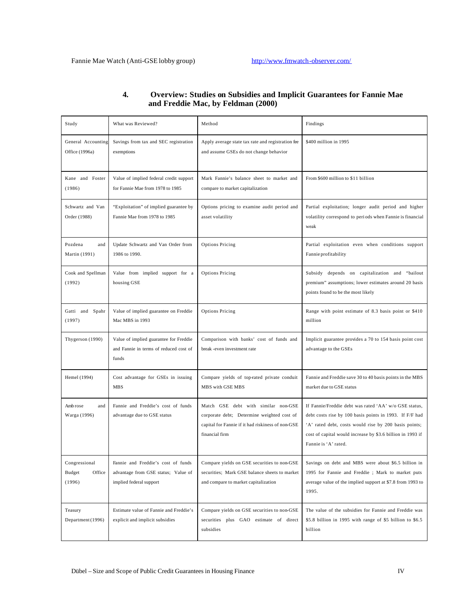| Study                                       | What was Reviewed?                                                                                   | Method                                                                                                                                                   | Findings                                                                                                                                                                                                                                                        |
|---------------------------------------------|------------------------------------------------------------------------------------------------------|----------------------------------------------------------------------------------------------------------------------------------------------------------|-----------------------------------------------------------------------------------------------------------------------------------------------------------------------------------------------------------------------------------------------------------------|
| General Accounting<br>Office (1996a)        | Savings from tax and SEC registration<br>exemptions                                                  | Apply average state tax rate and registration fee<br>and assume GSEs do not change behavior                                                              | \$400 million in 1995                                                                                                                                                                                                                                           |
| Kane and Foster<br>(1986)                   | Value of implied federal credit support<br>for Fannie Mae from 1978 to 1985                          | Mark Fannie's balance sheet to market and<br>compare to market capitalization                                                                            | From \$600 million to \$11 billion                                                                                                                                                                                                                              |
| Schwartz and Van<br>Order (1988)            | "Exploitation" of implied guarantee by<br>Fannie Mae from 1978 to 1985                               | Options pricing to examine audit period and<br>asset volatility                                                                                          | Partial exploitation; longer audit period and higher<br>volatility correspond to periods when Fannie is financial<br>weak                                                                                                                                       |
| Pozdena<br>and<br>Martin (1991)             | Update Schwartz and Van Order from<br>1986 to 1990.                                                  | Options Pricing                                                                                                                                          | Partial exploitation even when conditions support<br>Fannie profitability                                                                                                                                                                                       |
| Cook and Spellman<br>(1992)                 | Value from implied support for a<br>housing GSE                                                      | <b>Options Pricing</b>                                                                                                                                   | Subsidy depends on capitalization and "bailout<br>premium" assumptions; lower estimates around 20 basis<br>points found to be the most likely                                                                                                                   |
| Gatti and Spahr<br>(1997)                   | Value of implied guarantee on Freddie<br>Mac MBS in 1993                                             | <b>Options Pricing</b>                                                                                                                                   | Range with point estimate of 8.3 basis point or \$410<br>million                                                                                                                                                                                                |
| Thygerson (1990)                            | Value of implied guarantee for Freddie<br>and Fannie in terms of reduced cost of<br>funds            | Comparison with banks' cost of funds and<br>break -even investment rate                                                                                  | Implicit guarantee provides a 70 to 154 basis point cost<br>advantage to the GSEs                                                                                                                                                                               |
| Hemel (1994)                                | Cost advantage for GSEs in issuing<br>MBS                                                            | Compare yields of top-rated private conduit<br>MBS with GSE MBS                                                                                          | Fannie and Freddie save 30 to 40 basis points in the MBS<br>market due to GSE status                                                                                                                                                                            |
| Amb rose<br>and<br>Warga (1996)             | Fannie and Freddie's cost of funds<br>advantage due to GSE status                                    | Match GSE debt with similar non-GSE<br>corporate debt; Determine weighted cost of<br>capital for Fannie if it had riskiness of non-GSE<br>financial firm | If Fannie/Freddie debt was rated 'AA' w/o GSE status,<br>debt costs rise by 100 basis points in 1993. If F/F had<br>'A' rated debt, costs would rise by 200 basis points;<br>cost of capital would increase by \$3.6 billion in 1993 if<br>Fannie is 'A' rated. |
| Congressional<br>Office<br>Budget<br>(1996) | Fannie and Freddie's cost of funds<br>advantage from GSE status; Value of<br>implied federal support | Compare yields on GSE securities to non-GSE<br>securities; Mark GSE balance sheets to market<br>and compare to market capitalization                     | Savings on debt and MBS were about \$6.5 billion in<br>1995 for Fannie and Freddie; Mark to market puts<br>average value of the implied support at \$7.8 from 1993 to<br>1995.                                                                                  |
| Teasury<br>Department (1996)                | Estimate value of Fannie and Freddie's<br>explicit and implicit subsidies                            | Compare yields on GSE securities to non-GSE<br>securities plus GAO estimate of direct<br>subsidies                                                       | The value of the subsidies for Fannie and Freddie was<br>\$5.8 billion in 1995 with range of \$5 billion to \$6.5<br>billion                                                                                                                                    |

## **4. Overview: Studies on Subsidies and Implicit Guarantees for Fannie Mae and Freddie Mac, by Feldman (2000)**